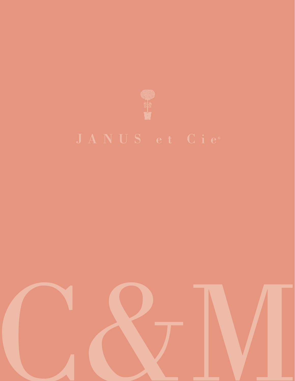

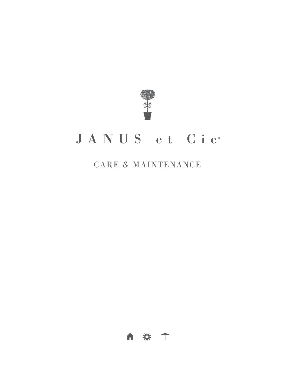

# JANUS et Cie<sup>®</sup>

# CARE & MAINTENANCE

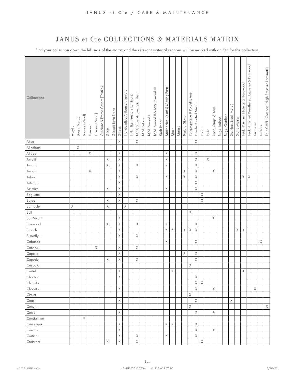<span id="page-2-0"></span>Find your collection down the left side of the matrix and the relevant material sections will be marked with an "X" for the collection.

| Akuu<br>Χ<br>Alizabeth<br>$\mathsf X$<br>$\mathsf X$<br>$\mathsf X$<br>$\mathsf X$<br>Allsize<br>$\mathsf X$<br>χ<br>$\mathsf X$<br>Χ<br>$\mathsf X$<br>Amalfi<br>$\mathsf X$<br>Χ<br>$\mathsf X$<br>Χ<br>Χ<br>Amari<br>$\mathsf X$<br>$\mathsf X$<br>X<br>Χ<br>χ<br>Anatra<br>$\mathsf X$<br>$\mathsf X$<br>$\mathsf X$<br>$\mathsf X$<br>Χ<br>$\mathsf X$<br>Arbor<br>Χ<br>$\mathsf X$<br>$\mathsf X$<br>Artemis<br>$\mathsf X$<br>Χ<br>X<br>Χ<br>Azimuth<br>$\mathsf X$<br>Χ<br>Baguette<br>$\mathsf X$<br>$\mathsf X$<br>$\mathsf X$<br>Χ<br>Balou<br>Χ<br>$\mathsf X$<br>Barnacle<br>X<br>Bell<br>$\mathsf X$<br>Χ<br><b>Bon Vivant</b><br>X<br>$\mathsf X$<br>Boxwood<br>X<br>Χ<br>Χ<br>Χ<br>$\mathsf X$<br>$\mathsf X$<br>Branch<br>$\mathsf X$<br>Χ<br>Χ<br>$\mathsf X$<br>$\mathsf X$<br>X<br>$\mathsf X$<br>Χ<br><b>Butterfly II</b><br>Cabanas<br>Χ<br>Χ<br>Χ<br>$\mathsf X$<br>Χ<br>Cannes II<br>Χ<br>X<br>$\mathsf X$<br>Capella<br>Χ<br>$\mathsf X$<br>$\times$<br>Capsule<br>X<br>Χ<br>$\times$<br>Cascata<br>Χ<br>$\mathsf X$<br>Χ<br>Castell<br>Charles<br>Χ<br>Χ<br>$\mathsf X$<br>$\mathsf X$<br>Chiquita<br>$\mathsf X$<br>$\mathsf X$<br>Χ<br>Χ<br>Chopstix<br>Circlet<br>X<br>$\chi$<br>Χ<br>X<br>Coast<br>Χ<br>X<br>Cone II<br>$\mathsf X$<br>$\mathsf X$<br>$\chi$<br>Conic<br>Χ<br>Constantine<br>$\mathsf X$<br>Χ<br>Χ<br>Χ<br>Contempo<br>$\mathsf X$<br>$\mathsf X$<br>$\mathsf X$<br>Contour<br>$\mathsf X$<br>$\mathsf X$<br>Χ<br>Χ<br>Cortino<br>Χ<br>$\mathsf X$<br>Χ<br>$\mathsf X$<br>Croissant | Collections | Acrylic | Brass (Metal) | Bronze (Metal) | Ceramic | Chrome (Metal) | Covers (Textiles)<br>Cushions & Frame | Glass | Glazed Lava Stone | Glides   | Handcrafted Artisan Stoneware | HPL (High Pressure Laminate) | JANUSfiber & Synthetic Fiber | JANUSstone | <b>JANUSwood</b> | JANUSwood II & JANUSwood III | Kraft Paper | Mechanical Joints & Moving Parts | Mesh | Metals | Natural Stone | Polypropylene & Polyethylene | Powder Coated Metals | Rattan | Resin | Rope, Straps & Yarn | Rugs - Indoor | Rugs - Outdoor | Stainless Steel (Metal) | Stone Matrix | Teak - Premium Natural & Hardwood | Espresso & Driftwood<br>Teak - Finished Weathered, | Terrazzo | Textiles | Thin CHPL (Compact High Pressure Laminate) |
|-----------------------------------------------------------------------------------------------------------------------------------------------------------------------------------------------------------------------------------------------------------------------------------------------------------------------------------------------------------------------------------------------------------------------------------------------------------------------------------------------------------------------------------------------------------------------------------------------------------------------------------------------------------------------------------------------------------------------------------------------------------------------------------------------------------------------------------------------------------------------------------------------------------------------------------------------------------------------------------------------------------------------------------------------------------------------------------------------------------------------------------------------------------------------------------------------------------------------------------------------------------------------------------------------------------------------------------------------------------------------------------------------------------------------------------------------------------------------------------------------------------------------------------|-------------|---------|---------------|----------------|---------|----------------|---------------------------------------|-------|-------------------|----------|-------------------------------|------------------------------|------------------------------|------------|------------------|------------------------------|-------------|----------------------------------|------|--------|---------------|------------------------------|----------------------|--------|-------|---------------------|---------------|----------------|-------------------------|--------------|-----------------------------------|----------------------------------------------------|----------|----------|--------------------------------------------|
|                                                                                                                                                                                                                                                                                                                                                                                                                                                                                                                                                                                                                                                                                                                                                                                                                                                                                                                                                                                                                                                                                                                                                                                                                                                                                                                                                                                                                                                                                                                                   |             |         |               |                |         |                |                                       |       |                   | $\times$ |                               |                              | $\mathsf X$                  |            |                  |                              |             |                                  |      |        |               |                              | $\mathsf X$          |        |       |                     |               |                |                         |              |                                   |                                                    |          |          |                                            |
|                                                                                                                                                                                                                                                                                                                                                                                                                                                                                                                                                                                                                                                                                                                                                                                                                                                                                                                                                                                                                                                                                                                                                                                                                                                                                                                                                                                                                                                                                                                                   |             |         |               |                |         |                |                                       |       |                   |          |                               |                              |                              |            |                  |                              |             |                                  |      |        |               |                              |                      |        |       |                     |               |                |                         |              |                                   |                                                    |          |          |                                            |
|                                                                                                                                                                                                                                                                                                                                                                                                                                                                                                                                                                                                                                                                                                                                                                                                                                                                                                                                                                                                                                                                                                                                                                                                                                                                                                                                                                                                                                                                                                                                   |             |         |               |                |         |                |                                       |       |                   |          |                               |                              |                              |            |                  |                              |             |                                  |      |        |               |                              |                      |        |       |                     |               |                |                         |              |                                   |                                                    |          |          |                                            |
|                                                                                                                                                                                                                                                                                                                                                                                                                                                                                                                                                                                                                                                                                                                                                                                                                                                                                                                                                                                                                                                                                                                                                                                                                                                                                                                                                                                                                                                                                                                                   |             |         |               |                |         |                |                                       |       |                   |          |                               |                              |                              |            |                  |                              |             |                                  |      |        |               |                              |                      |        |       |                     |               |                |                         |              |                                   |                                                    |          |          |                                            |
|                                                                                                                                                                                                                                                                                                                                                                                                                                                                                                                                                                                                                                                                                                                                                                                                                                                                                                                                                                                                                                                                                                                                                                                                                                                                                                                                                                                                                                                                                                                                   |             |         |               |                |         |                |                                       |       |                   |          |                               |                              |                              |            |                  |                              |             |                                  |      |        |               |                              |                      |        |       |                     |               |                |                         |              |                                   |                                                    |          |          |                                            |
|                                                                                                                                                                                                                                                                                                                                                                                                                                                                                                                                                                                                                                                                                                                                                                                                                                                                                                                                                                                                                                                                                                                                                                                                                                                                                                                                                                                                                                                                                                                                   |             |         |               |                |         |                |                                       |       |                   |          |                               |                              |                              |            |                  |                              |             |                                  |      |        |               |                              |                      |        |       |                     |               |                |                         |              |                                   |                                                    |          |          |                                            |
|                                                                                                                                                                                                                                                                                                                                                                                                                                                                                                                                                                                                                                                                                                                                                                                                                                                                                                                                                                                                                                                                                                                                                                                                                                                                                                                                                                                                                                                                                                                                   |             |         |               |                |         |                |                                       |       |                   |          |                               |                              |                              |            |                  |                              |             |                                  |      |        |               |                              |                      |        |       |                     |               |                |                         |              |                                   |                                                    |          |          |                                            |
|                                                                                                                                                                                                                                                                                                                                                                                                                                                                                                                                                                                                                                                                                                                                                                                                                                                                                                                                                                                                                                                                                                                                                                                                                                                                                                                                                                                                                                                                                                                                   |             |         |               |                |         |                |                                       |       |                   |          |                               |                              |                              |            |                  |                              |             |                                  |      |        |               |                              |                      |        |       |                     |               |                |                         |              |                                   |                                                    |          |          |                                            |
|                                                                                                                                                                                                                                                                                                                                                                                                                                                                                                                                                                                                                                                                                                                                                                                                                                                                                                                                                                                                                                                                                                                                                                                                                                                                                                                                                                                                                                                                                                                                   |             |         |               |                |         |                |                                       |       |                   |          |                               |                              |                              |            |                  |                              |             |                                  |      |        |               |                              |                      |        |       |                     |               |                |                         |              |                                   |                                                    |          |          |                                            |
|                                                                                                                                                                                                                                                                                                                                                                                                                                                                                                                                                                                                                                                                                                                                                                                                                                                                                                                                                                                                                                                                                                                                                                                                                                                                                                                                                                                                                                                                                                                                   |             |         |               |                |         |                |                                       |       |                   |          |                               |                              |                              |            |                  |                              |             |                                  |      |        |               |                              |                      |        |       |                     |               |                |                         |              |                                   |                                                    |          |          |                                            |
|                                                                                                                                                                                                                                                                                                                                                                                                                                                                                                                                                                                                                                                                                                                                                                                                                                                                                                                                                                                                                                                                                                                                                                                                                                                                                                                                                                                                                                                                                                                                   |             |         |               |                |         |                |                                       |       |                   |          |                               |                              |                              |            |                  |                              |             |                                  |      |        |               |                              |                      |        |       |                     |               |                |                         |              |                                   |                                                    |          |          |                                            |
|                                                                                                                                                                                                                                                                                                                                                                                                                                                                                                                                                                                                                                                                                                                                                                                                                                                                                                                                                                                                                                                                                                                                                                                                                                                                                                                                                                                                                                                                                                                                   |             |         |               |                |         |                |                                       |       |                   |          |                               |                              |                              |            |                  |                              |             |                                  |      |        |               |                              |                      |        |       |                     |               |                |                         |              |                                   |                                                    |          |          |                                            |
|                                                                                                                                                                                                                                                                                                                                                                                                                                                                                                                                                                                                                                                                                                                                                                                                                                                                                                                                                                                                                                                                                                                                                                                                                                                                                                                                                                                                                                                                                                                                   |             |         |               |                |         |                |                                       |       |                   |          |                               |                              |                              |            |                  |                              |             |                                  |      |        |               |                              |                      |        |       |                     |               |                |                         |              |                                   |                                                    |          |          |                                            |
|                                                                                                                                                                                                                                                                                                                                                                                                                                                                                                                                                                                                                                                                                                                                                                                                                                                                                                                                                                                                                                                                                                                                                                                                                                                                                                                                                                                                                                                                                                                                   |             |         |               |                |         |                |                                       |       |                   |          |                               |                              |                              |            |                  |                              |             |                                  |      |        |               |                              |                      |        |       |                     |               |                |                         |              |                                   |                                                    |          |          |                                            |
|                                                                                                                                                                                                                                                                                                                                                                                                                                                                                                                                                                                                                                                                                                                                                                                                                                                                                                                                                                                                                                                                                                                                                                                                                                                                                                                                                                                                                                                                                                                                   |             |         |               |                |         |                |                                       |       |                   |          |                               |                              |                              |            |                  |                              |             |                                  |      |        |               |                              |                      |        |       |                     |               |                |                         |              |                                   |                                                    |          |          |                                            |
|                                                                                                                                                                                                                                                                                                                                                                                                                                                                                                                                                                                                                                                                                                                                                                                                                                                                                                                                                                                                                                                                                                                                                                                                                                                                                                                                                                                                                                                                                                                                   |             |         |               |                |         |                |                                       |       |                   |          |                               |                              |                              |            |                  |                              |             |                                  |      |        |               |                              |                      |        |       |                     |               |                |                         |              |                                   |                                                    |          |          |                                            |
|                                                                                                                                                                                                                                                                                                                                                                                                                                                                                                                                                                                                                                                                                                                                                                                                                                                                                                                                                                                                                                                                                                                                                                                                                                                                                                                                                                                                                                                                                                                                   |             |         |               |                |         |                |                                       |       |                   |          |                               |                              |                              |            |                  |                              |             |                                  |      |        |               |                              |                      |        |       |                     |               |                |                         |              |                                   |                                                    |          |          |                                            |
|                                                                                                                                                                                                                                                                                                                                                                                                                                                                                                                                                                                                                                                                                                                                                                                                                                                                                                                                                                                                                                                                                                                                                                                                                                                                                                                                                                                                                                                                                                                                   |             |         |               |                |         |                |                                       |       |                   |          |                               |                              |                              |            |                  |                              |             |                                  |      |        |               |                              |                      |        |       |                     |               |                |                         |              |                                   |                                                    |          |          |                                            |
|                                                                                                                                                                                                                                                                                                                                                                                                                                                                                                                                                                                                                                                                                                                                                                                                                                                                                                                                                                                                                                                                                                                                                                                                                                                                                                                                                                                                                                                                                                                                   |             |         |               |                |         |                |                                       |       |                   |          |                               |                              |                              |            |                  |                              |             |                                  |      |        |               |                              |                      |        |       |                     |               |                |                         |              |                                   |                                                    |          |          |                                            |
|                                                                                                                                                                                                                                                                                                                                                                                                                                                                                                                                                                                                                                                                                                                                                                                                                                                                                                                                                                                                                                                                                                                                                                                                                                                                                                                                                                                                                                                                                                                                   |             |         |               |                |         |                |                                       |       |                   |          |                               |                              |                              |            |                  |                              |             |                                  |      |        |               |                              |                      |        |       |                     |               |                |                         |              |                                   |                                                    |          |          |                                            |
|                                                                                                                                                                                                                                                                                                                                                                                                                                                                                                                                                                                                                                                                                                                                                                                                                                                                                                                                                                                                                                                                                                                                                                                                                                                                                                                                                                                                                                                                                                                                   |             |         |               |                |         |                |                                       |       |                   |          |                               |                              |                              |            |                  |                              |             |                                  |      |        |               |                              |                      |        |       |                     |               |                |                         |              |                                   |                                                    |          |          |                                            |
|                                                                                                                                                                                                                                                                                                                                                                                                                                                                                                                                                                                                                                                                                                                                                                                                                                                                                                                                                                                                                                                                                                                                                                                                                                                                                                                                                                                                                                                                                                                                   |             |         |               |                |         |                |                                       |       |                   |          |                               |                              |                              |            |                  |                              |             |                                  |      |        |               |                              |                      |        |       |                     |               |                |                         |              |                                   |                                                    |          |          |                                            |
|                                                                                                                                                                                                                                                                                                                                                                                                                                                                                                                                                                                                                                                                                                                                                                                                                                                                                                                                                                                                                                                                                                                                                                                                                                                                                                                                                                                                                                                                                                                                   |             |         |               |                |         |                |                                       |       |                   |          |                               |                              |                              |            |                  |                              |             |                                  |      |        |               |                              |                      |        |       |                     |               |                |                         |              |                                   |                                                    |          |          |                                            |
|                                                                                                                                                                                                                                                                                                                                                                                                                                                                                                                                                                                                                                                                                                                                                                                                                                                                                                                                                                                                                                                                                                                                                                                                                                                                                                                                                                                                                                                                                                                                   |             |         |               |                |         |                |                                       |       |                   |          |                               |                              |                              |            |                  |                              |             |                                  |      |        |               |                              |                      |        |       |                     |               |                |                         |              |                                   |                                                    |          |          |                                            |
|                                                                                                                                                                                                                                                                                                                                                                                                                                                                                                                                                                                                                                                                                                                                                                                                                                                                                                                                                                                                                                                                                                                                                                                                                                                                                                                                                                                                                                                                                                                                   |             |         |               |                |         |                |                                       |       |                   |          |                               |                              |                              |            |                  |                              |             |                                  |      |        |               |                              |                      |        |       |                     |               |                |                         |              |                                   |                                                    |          |          |                                            |
|                                                                                                                                                                                                                                                                                                                                                                                                                                                                                                                                                                                                                                                                                                                                                                                                                                                                                                                                                                                                                                                                                                                                                                                                                                                                                                                                                                                                                                                                                                                                   |             |         |               |                |         |                |                                       |       |                   |          |                               |                              |                              |            |                  |                              |             |                                  |      |        |               |                              |                      |        |       |                     |               |                |                         |              |                                   |                                                    |          |          |                                            |
|                                                                                                                                                                                                                                                                                                                                                                                                                                                                                                                                                                                                                                                                                                                                                                                                                                                                                                                                                                                                                                                                                                                                                                                                                                                                                                                                                                                                                                                                                                                                   |             |         |               |                |         |                |                                       |       |                   |          |                               |                              |                              |            |                  |                              |             |                                  |      |        |               |                              |                      |        |       |                     |               |                |                         |              |                                   |                                                    |          |          |                                            |
|                                                                                                                                                                                                                                                                                                                                                                                                                                                                                                                                                                                                                                                                                                                                                                                                                                                                                                                                                                                                                                                                                                                                                                                                                                                                                                                                                                                                                                                                                                                                   |             |         |               |                |         |                |                                       |       |                   |          |                               |                              |                              |            |                  |                              |             |                                  |      |        |               |                              |                      |        |       |                     |               |                |                         |              |                                   |                                                    |          |          |                                            |
|                                                                                                                                                                                                                                                                                                                                                                                                                                                                                                                                                                                                                                                                                                                                                                                                                                                                                                                                                                                                                                                                                                                                                                                                                                                                                                                                                                                                                                                                                                                                   |             |         |               |                |         |                |                                       |       |                   |          |                               |                              |                              |            |                  |                              |             |                                  |      |        |               |                              |                      |        |       |                     |               |                |                         |              |                                   |                                                    |          |          |                                            |
|                                                                                                                                                                                                                                                                                                                                                                                                                                                                                                                                                                                                                                                                                                                                                                                                                                                                                                                                                                                                                                                                                                                                                                                                                                                                                                                                                                                                                                                                                                                                   |             |         |               |                |         |                |                                       |       |                   |          |                               |                              |                              |            |                  |                              |             |                                  |      |        |               |                              |                      |        |       |                     |               |                |                         |              |                                   |                                                    |          |          |                                            |
|                                                                                                                                                                                                                                                                                                                                                                                                                                                                                                                                                                                                                                                                                                                                                                                                                                                                                                                                                                                                                                                                                                                                                                                                                                                                                                                                                                                                                                                                                                                                   |             |         |               |                |         |                |                                       |       |                   |          |                               |                              |                              |            |                  |                              |             |                                  |      |        |               |                              |                      |        |       |                     |               |                |                         |              |                                   |                                                    |          |          |                                            |
|                                                                                                                                                                                                                                                                                                                                                                                                                                                                                                                                                                                                                                                                                                                                                                                                                                                                                                                                                                                                                                                                                                                                                                                                                                                                                                                                                                                                                                                                                                                                   |             |         |               |                |         |                |                                       |       |                   |          |                               |                              |                              |            |                  |                              |             |                                  |      |        |               |                              |                      |        |       |                     |               |                |                         |              |                                   |                                                    |          |          |                                            |
|                                                                                                                                                                                                                                                                                                                                                                                                                                                                                                                                                                                                                                                                                                                                                                                                                                                                                                                                                                                                                                                                                                                                                                                                                                                                                                                                                                                                                                                                                                                                   |             |         |               |                |         |                |                                       |       |                   |          |                               |                              |                              |            |                  |                              |             |                                  |      |        |               |                              |                      |        |       |                     |               |                |                         |              |                                   |                                                    |          |          |                                            |
|                                                                                                                                                                                                                                                                                                                                                                                                                                                                                                                                                                                                                                                                                                                                                                                                                                                                                                                                                                                                                                                                                                                                                                                                                                                                                                                                                                                                                                                                                                                                   |             |         |               |                |         |                |                                       |       |                   |          |                               |                              |                              |            |                  |                              |             |                                  |      |        |               |                              |                      |        |       |                     |               |                |                         |              |                                   |                                                    |          |          |                                            |
|                                                                                                                                                                                                                                                                                                                                                                                                                                                                                                                                                                                                                                                                                                                                                                                                                                                                                                                                                                                                                                                                                                                                                                                                                                                                                                                                                                                                                                                                                                                                   |             |         |               |                |         |                |                                       |       |                   |          |                               |                              |                              |            |                  |                              |             |                                  |      |        |               |                              |                      |        |       |                     |               |                |                         |              |                                   |                                                    |          |          |                                            |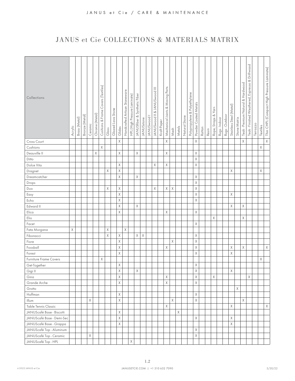| Collections               | Acrylic | Brass (Metal) | Bronze (Metal) | Ceramic | Chrome (Metal) | Covers (Textiles)<br>Cushions & Frame | Glass       | Glazed Lava Stone | Glides       | Handcrafted Artisan Stoneware | HPL (High Pressure Laminate) | JANUSfiber & Synthetic Fiber | <b>JANUSstone</b> | <b>JANUSwood</b> | IANUSwood II & JANUSwood III | Kraft Paper | Mechanical Joints & Moving Parts | Mesh | Metals      | Stone<br>Natural | Polypropylene & Polyethylene | Powder Coated Metals | Rattan | Resin | Rope, Straps & Yarn | Rugs - Indoor | Rugs - Outdoor | Stainless Steel (Metal) | Stone Matrix | Teak - Premium Natural & Hardwood | Teak - Finished Weathered, Espresso & Driftwood | Terrazzo | Textiles    | Thin CHPL (Compact High Pressure Laminate) |
|---------------------------|---------|---------------|----------------|---------|----------------|---------------------------------------|-------------|-------------------|--------------|-------------------------------|------------------------------|------------------------------|-------------------|------------------|------------------------------|-------------|----------------------------------|------|-------------|------------------|------------------------------|----------------------|--------|-------|---------------------|---------------|----------------|-------------------------|--------------|-----------------------------------|-------------------------------------------------|----------|-------------|--------------------------------------------|
| Cross Court               |         |               |                |         |                |                                       |             |                   | $\mathsf{X}$ |                               |                              |                              |                   |                  |                              |             | $\mathsf X$                      |      |             |                  |                              | $\mathsf X$          |        |       |                     |               |                |                         |              | χ                                 |                                                 |          |             | $\mathsf X$                                |
| Cushions                  |         |               |                |         |                | Χ                                     |             |                   |              |                               |                              |                              |                   |                  |                              |             |                                  |      |             |                  |                              |                      |        |       |                     |               |                |                         |              |                                   |                                                 |          | $\mathsf X$ |                                            |
| Deauville II              |         |               |                |         | $\mathsf X$    |                                       |             |                   | Χ            |                               |                              | $\times$                     |                   |                  |                              |             | $\times$                         |      |             |                  |                              | X                    |        |       |                     |               |                |                         |              |                                   |                                                 |          |             |                                            |
| Ditto                     |         |               |                |         |                |                                       |             |                   |              |                               |                              |                              |                   |                  |                              |             |                                  |      |             |                  |                              | X                    |        |       |                     |               |                |                         |              |                                   |                                                 |          |             |                                            |
| Dolce Vita                |         |               |                |         |                |                                       |             |                   | Χ            |                               |                              |                              |                   |                  | $\chi$                       |             | $\times$                         |      |             |                  |                              | $\mathsf X$          |        |       |                     |               |                |                         |              |                                   |                                                 |          |             |                                            |
| Dragnet                   |         |               |                |         |                |                                       | $\mathsf X$ |                   | Χ            |                               |                              |                              |                   |                  |                              |             |                                  |      |             |                  |                              |                      |        |       |                     |               |                | Χ                       |              |                                   |                                                 |          | X           |                                            |
| Dreamcatcher              |         |               |                |         |                |                                       |             |                   | Χ            |                               |                              | X                            |                   |                  |                              |             |                                  |      |             |                  |                              | X                    |        |       |                     |               |                |                         |              |                                   |                                                 |          |             |                                            |
| Drops                     |         |               |                |         |                |                                       |             |                   |              |                               |                              |                              |                   |                  |                              |             |                                  |      |             |                  |                              | $\mathsf X$          |        |       |                     |               |                |                         |              |                                   |                                                 |          |             |                                            |
| Duo                       |         |               |                |         |                |                                       | Χ           |                   | Χ            |                               |                              |                              |                   |                  | X                            |             | $\mathsf X$                      | X    |             |                  |                              | $\mathsf X$          |        |       |                     |               |                |                         |              |                                   |                                                 |          |             |                                            |
| Easy                      |         |               |                |         |                |                                       |             |                   | $\mathsf X$  |                               |                              |                              |                   |                  |                              |             |                                  |      |             |                  |                              | $\mathsf X$          |        |       |                     |               |                | Χ                       |              |                                   |                                                 |          |             |                                            |
| Echo                      |         |               |                |         |                |                                       |             |                   | $\mathsf X$  |                               |                              |                              |                   |                  |                              |             |                                  |      |             |                  |                              | $\mathsf X$          |        |       |                     |               |                |                         |              |                                   |                                                 |          |             |                                            |
| Edward II                 |         |               |                |         |                |                                       |             |                   | Χ            |                               |                              | $\mathsf X$                  |                   |                  |                              |             |                                  |      |             |                  |                              |                      |        |       |                     |               |                | Χ                       |              | Χ                                 |                                                 |          |             |                                            |
| Elica                     |         |               |                |         |                |                                       |             |                   | Χ            |                               |                              |                              |                   |                  |                              |             | $\mathsf X$                      |      |             |                  |                              | $\mathsf X$          |        |       |                     |               |                |                         |              |                                   |                                                 |          |             |                                            |
| Elio                      |         |               |                |         |                |                                       |             |                   |              |                               |                              |                              |                   |                  |                              |             |                                  |      |             |                  |                              |                      |        |       | $\chi$              |               |                |                         |              | χ                                 |                                                 |          |             |                                            |
| Facet                     |         |               |                |         |                |                                       |             |                   |              |                               |                              |                              |                   |                  |                              |             |                                  |      |             |                  |                              | $\mathsf X$          |        |       |                     |               |                |                         |              |                                   |                                                 |          |             |                                            |
| Fata Morgana              | X       |               |                |         |                |                                       | Χ           |                   |              | Χ                             |                              |                              |                   |                  |                              |             |                                  |      |             |                  |                              |                      |        |       |                     |               |                |                         |              |                                   |                                                 |          |             |                                            |
| Fibonacci                 |         |               |                |         |                |                                       | X           |                   | $\mathsf X$  |                               |                              | X                            | Χ                 |                  |                              |             |                                  |      |             |                  |                              | X                    |        |       |                     |               |                |                         |              |                                   |                                                 |          |             |                                            |
| Fiore                     |         |               |                |         |                |                                       |             |                   | $\mathsf X$  |                               |                              |                              |                   |                  |                              |             |                                  | χ    |             |                  |                              | $\mathsf X$          |        |       |                     |               |                |                         |              |                                   |                                                 |          |             |                                            |
| Foosball                  |         |               |                |         |                |                                       |             |                   | Χ            |                               |                              |                              |                   |                  |                              |             | X                                |      |             |                  |                              | $\mathsf X$          |        |       |                     |               |                | Χ                       |              | Χ                                 |                                                 |          |             | $\mathsf X$                                |
| Forest                    |         |               |                |         |                |                                       |             |                   | X            |                               |                              |                              |                   |                  |                              |             |                                  |      |             |                  |                              | X                    |        |       |                     |               |                | X                       |              |                                   |                                                 |          |             |                                            |
| Furniture Frame Covers    |         |               |                |         |                | X                                     |             |                   |              |                               |                              |                              |                   |                  |                              |             |                                  |      |             |                  |                              |                      |        |       |                     |               |                |                         |              |                                   |                                                 |          | Χ           |                                            |
| Get-Together              |         |               |                |         |                |                                       |             |                   | Χ            |                               |                              |                              |                   |                  |                              |             |                                  |      |             |                  |                              | $\mathsf X$          |        |       |                     |               |                |                         |              |                                   |                                                 |          |             |                                            |
| Gigi II                   |         |               |                |         |                |                                       |             |                   | $\mathsf X$  |                               |                              | $\mathsf X$                  |                   |                  |                              |             |                                  |      |             |                  |                              | $\mathsf X$          |        |       |                     |               |                | X                       |              |                                   |                                                 |          |             |                                            |
| Gina                      |         |               |                |         |                |                                       |             |                   | $\mathsf X$  |                               |                              |                              |                   |                  |                              |             | $\mathsf X$                      |      |             |                  |                              | $\mathsf X$          |        |       | Χ                   |               |                |                         |              |                                   | Χ                                               |          |             |                                            |
| Grande Arche              |         |               |                |         |                |                                       |             |                   | Χ            |                               |                              |                              |                   |                  |                              |             | $\mathsf X$                      |      |             |                  |                              | $\mathsf X$          |        |       |                     |               |                |                         |              |                                   |                                                 |          |             |                                            |
| Grotto                    |         |               |                |         |                |                                       |             |                   |              |                               |                              |                              |                   |                  |                              |             |                                  |      |             |                  |                              |                      |        |       |                     |               |                |                         | Χ            |                                   |                                                 |          |             |                                            |
| Hoffman                   |         |               |                |         |                |                                       |             |                   | Χ            |                               |                              |                              |                   |                  |                              |             |                                  |      |             |                  |                              | $\mathsf X$          |        |       |                     |               |                |                         |              |                                   |                                                 |          |             |                                            |
| Illum                     |         |               |                | X       |                |                                       |             |                   | $\times$     |                               |                              |                              |                   |                  |                              |             |                                  | χ    |             |                  |                              | $\mathsf X$          |        |       |                     |               |                |                         |              | Χ                                 |                                                 |          |             |                                            |
| Table Tennis Classic      |         |               |                |         |                |                                       |             |                   |              |                               |                              |                              |                   |                  |                              |             | $\mathsf X$                      |      |             |                  |                              |                      |        |       |                     |               |                | Χ                       |              |                                   |                                                 |          |             | X                                          |
| JANUScafé Base - Biscotti |         |               |                |         |                |                                       |             |                   | $\mathsf X$  |                               |                              |                              |                   |                  |                              |             |                                  |      | $\mathsf X$ |                  |                              |                      |        |       |                     |               |                |                         |              |                                   |                                                 |          |             |                                            |
| JANUScafé Base - Demi-Sec |         |               |                |         |                |                                       |             |                   | $\mathsf X$  |                               |                              |                              |                   |                  |                              |             |                                  |      |             |                  |                              | $\mathsf X$          |        |       |                     |               |                | X                       |              |                                   |                                                 |          |             |                                            |
| JANUScafé Base - Grappa   |         |               |                |         |                |                                       |             |                   | Χ            |                               |                              |                              |                   |                  |                              |             |                                  |      |             |                  |                              |                      |        |       |                     |               |                | Χ                       |              |                                   |                                                 |          |             |                                            |
| JANUScafé Top - Aluminum  |         |               |                |         |                |                                       |             |                   |              |                               |                              |                              |                   |                  |                              |             |                                  |      |             |                  |                              | $\mathsf X$          |        |       |                     |               |                |                         |              |                                   |                                                 |          |             |                                            |
| JANUScafé Top - Ceramic   |         |               |                | X       |                |                                       |             |                   |              |                               |                              |                              |                   |                  |                              |             |                                  |      |             |                  |                              | $\mathsf X$          |        |       |                     |               |                |                         |              |                                   |                                                 |          |             |                                            |
| JANUScafé Top - HPL       |         |               |                |         |                |                                       |             |                   |              |                               | $\mathsf X$                  |                              |                   |                  |                              |             |                                  |      |             |                  |                              |                      |        |       |                     |               |                |                         |              |                                   |                                                 |          |             |                                            |
|                           |         |               |                |         |                |                                       |             |                   |              |                               |                              |                              |                   |                  |                              |             |                                  |      |             |                  |                              |                      |        |       |                     |               |                |                         |              |                                   |                                                 |          |             |                                            |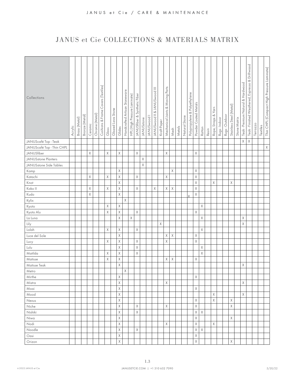| Collections                | Acrylic | Brass (Metal) | Bronze (Metal) | Ceramic | Chrome (Metal) | Covers (Textiles)<br>Cushions & Frame | Glass       | Glazed Lava Stone | Glides      | Handcrafted Artisan Stoneware | HPL (High Pressure Laminate) | JANUSfiber & Synthetic Fiber | <b>JANUSstone</b> | JANUSwood I | IANUSwood II & JANUSwood III | Kraft Paper | Mechanical Joints & Moving Parts | Mesh | Metals | Natural Stone | Polypropylene & Polyethylene | Powder Coated Metals | Rattan | Resin | Rope, Straps & Yarn | Rugs - Indoor | Rugs - Outdoor | Stainless Steel (Metal) | Stone Matrix | Teak - Premium Natural & Hardwood | Driftwood<br>Teak - Finished Weathered, Espresso & | Terrazzo | Textiles | Thin CHPL (Compact High Pressure Laminate) |
|----------------------------|---------|---------------|----------------|---------|----------------|---------------------------------------|-------------|-------------------|-------------|-------------------------------|------------------------------|------------------------------|-------------------|-------------|------------------------------|-------------|----------------------------------|------|--------|---------------|------------------------------|----------------------|--------|-------|---------------------|---------------|----------------|-------------------------|--------------|-----------------------------------|----------------------------------------------------|----------|----------|--------------------------------------------|
| JANUScafé Top - Teak       |         |               |                |         |                |                                       |             |                   |             |                               |                              |                              |                   |             |                              |             |                                  |      |        |               |                              |                      |        |       |                     |               |                |                         |              | $\mathsf X$                       | $\mathsf X$                                        |          |          |                                            |
| JANUScafé Top - Thin CHPL  |         |               |                |         |                |                                       |             |                   |             |                               |                              |                              |                   |             |                              |             |                                  |      |        |               |                              |                      |        |       |                     |               |                |                         |              |                                   |                                                    |          |          | $\mathsf X$                                |
| JANUSfiber                 |         |               |                | X       |                |                                       | $\mathsf X$ |                   | $\mathsf X$ |                               |                              | Χ                            |                   |             |                              |             | $\mathsf X$                      |      |        |               |                              | $\times$             |        |       |                     |               |                |                         |              |                                   |                                                    |          |          |                                            |
| <b>JANUSstone Planters</b> |         |               |                |         |                |                                       |             |                   |             |                               |                              |                              | X                 |             |                              |             |                                  |      |        |               |                              |                      |        |       |                     |               |                |                         |              |                                   |                                                    |          |          |                                            |
| JANUSstone Side Tables     |         |               |                |         |                |                                       |             |                   |             |                               |                              |                              | $\mathsf X$       |             |                              |             |                                  |      |        |               |                              |                      |        |       |                     |               |                |                         |              |                                   |                                                    |          |          |                                            |
| Kamp                       |         |               |                |         |                |                                       |             |                   | X           |                               |                              |                              |                   |             |                              |             |                                  | Χ    |        |               |                              | $\mathsf X$          |        |       |                     |               |                |                         |              |                                   |                                                    |          |          |                                            |
| Katachi                    |         |               |                | X       |                |                                       | Χ           |                   | Χ           |                               |                              | Χ                            |                   |             |                              |             | $\mathsf X$                      |      |        |               |                              | $\mathsf X$          |        |       |                     |               |                |                         |              |                                   |                                                    |          |          |                                            |
| Knot                       |         |               |                |         |                |                                       |             |                   | Χ           |                               |                              |                              |                   |             |                              |             |                                  |      |        |               |                              | $\mathsf X$          |        |       | $\chi$              |               |                | Χ                       |              |                                   |                                                    |          |          |                                            |
| Koko II                    |         |               |                | X       |                |                                       | Χ           |                   | χ           |                               |                              | χ                            |                   |             | X                            |             | Χ                                | Χ    |        |               |                              | $\mathsf X$          |        |       |                     |               |                |                         |              |                                   |                                                    |          |          |                                            |
| Kudo                       |         |               |                | Χ       |                |                                       |             |                   | $\mathsf X$ |                               |                              |                              |                   |             |                              |             |                                  |      |        |               |                              | $\mathsf X$          |        |       |                     |               |                |                         |              |                                   |                                                    |          |          |                                            |
| Kylix                      |         |               |                |         |                |                                       |             |                   |             | $\mathsf X$                   |                              |                              |                   |             |                              |             |                                  |      |        |               | $\overline{\mathsf{x}}$      |                      |        |       |                     |               |                |                         |              |                                   |                                                    |          |          |                                            |
| Kyoto                      |         |               |                |         |                |                                       | Χ           |                   | $\mathsf X$ |                               |                              |                              |                   |             |                              |             |                                  |      |        |               |                              |                      | Χ      |       |                     |               |                |                         |              |                                   |                                                    |          |          |                                            |
| Kyoto Alu                  |         |               |                |         |                |                                       | Χ           |                   | $\mathsf X$ |                               |                              | Χ                            |                   |             |                              |             |                                  |      |        |               |                              | $\mathsf X$          |        |       |                     |               |                |                         |              |                                   |                                                    |          |          |                                            |
| La Luna                    |         |               |                |         |                |                                       |             |                   | $\mathsf X$ |                               | $\times$                     |                              |                   |             |                              |             |                                  |      |        |               |                              |                      | Χ      |       |                     |               |                |                         |              | $\mathsf X$                       |                                                    |          |          |                                            |
| Lily                       |         |               |                |         |                |                                       |             |                   |             |                               |                              |                              |                   |             |                              | X           |                                  |      |        |               |                              |                      |        |       |                     |               |                |                         |              | $\times$                          |                                                    |          |          |                                            |
| Lolah                      |         |               |                |         |                |                                       | Χ           |                   | Χ           |                               |                              | χ                            |                   |             |                              |             |                                  |      |        |               |                              |                      | Χ      |       |                     |               |                |                         |              |                                   |                                                    |          |          |                                            |
| Luce del Sole              |         |               |                |         |                |                                       |             |                   | $\mathsf X$ |                               |                              |                              |                   |             |                              |             | Χ                                | Χ    |        |               |                              | $\mathsf X$          |        |       |                     |               |                |                         |              |                                   |                                                    |          |          |                                            |
| Lucy                       |         |               |                |         |                |                                       | Χ           |                   | Χ           |                               |                              | Χ                            |                   |             |                              |             | Χ                                |      |        |               |                              | Χ                    |        |       |                     |               |                |                         |              |                                   |                                                    |          |          |                                            |
| Lulu                       |         |               |                |         |                |                                       |             |                   | Χ           |                               |                              | Χ                            |                   |             |                              |             |                                  |      |        |               |                              |                      | χ      |       |                     |               |                |                         |              |                                   |                                                    |          |          |                                            |
| Matilda                    |         |               |                |         |                |                                       | Χ           |                   | Χ           |                               |                              | χ                            |                   |             |                              |             |                                  |      |        |               |                              |                      | Χ      |       |                     |               |                |                         |              |                                   |                                                    |          |          |                                            |
| Matisse                    |         |               |                |         |                |                                       | Χ           |                   | Χ           |                               |                              |                              |                   |             |                              |             | χ                                | Χ    |        |               |                              | $\mathsf X$          |        |       |                     |               |                |                         |              |                                   |                                                    |          |          |                                            |
| <b>Matisse Teak</b>        |         |               |                |         |                |                                       |             |                   | Χ           |                               |                              |                              |                   |             |                              |             |                                  |      |        |               |                              |                      |        |       |                     |               |                |                         |              | $\mathsf X$                       |                                                    |          |          |                                            |
| Metro                      |         |               |                |         |                |                                       |             |                   |             | $\mathsf X$                   |                              |                              |                   |             |                              |             |                                  |      |        |               |                              |                      |        |       |                     |               |                |                         |              |                                   |                                                    |          |          |                                            |
| Mirthe                     |         |               |                |         |                |                                       |             |                   | Χ           |                               |                              |                              |                   |             |                              |             |                                  |      |        |               |                              | X                    |        |       |                     |               |                |                         |              |                                   |                                                    |          |          |                                            |
| Mistra                     |         |               |                |         |                |                                       |             |                   | Χ           |                               |                              |                              |                   |             |                              |             | Χ                                |      |        |               |                              |                      |        |       |                     |               |                |                         |              | $\mathsf X$                       |                                                    |          |          |                                            |
| Moai                       |         |               |                |         |                |                                       |             |                   | χ           |                               |                              |                              |                   |             |                              |             |                                  |      |        |               |                              | Χ                    |        |       |                     |               |                |                         |              |                                   |                                                    |          |          |                                            |
| Mood                       |         |               |                |         |                |                                       |             |                   | Χ           |                               |                              |                              |                   |             |                              |             |                                  |      |        |               |                              |                      |        |       | Χ                   |               |                |                         |              | Χ                                 |                                                    |          |          |                                            |
| Nexus                      |         |               |                |         |                |                                       |             |                   | Χ           |                               |                              |                              |                   |             |                              |             |                                  |      |        |               |                              | Χ                    |        |       | Χ                   |               |                | Χ                       |              |                                   |                                                    |          |          |                                            |
| Niche                      |         |               |                |         |                |                                       |             |                   | χ           |                               |                              | Χ                            |                   |             |                              |             | Χ                                |      |        |               |                              | Χ                    |        |       |                     |               |                | Χ                       |              |                                   |                                                    |          |          |                                            |
| Nishiki                    |         |               |                |         |                |                                       |             |                   | Χ           |                               |                              | Χ                            |                   |             |                              |             |                                  |      |        |               |                              | Χ                    | χ      |       |                     |               |                |                         |              |                                   |                                                    |          |          |                                            |
| Niwa                       |         |               |                |         |                |                                       |             |                   | Χ           |                               |                              |                              |                   |             |                              |             |                                  |      |        |               |                              | $\mathsf X$          |        |       |                     |               |                | Χ                       |              |                                   |                                                    |          |          |                                            |
| Nodi                       |         |               |                |         |                |                                       |             |                   | Χ           |                               |                              |                              |                   |             |                              |             | Χ                                |      |        |               |                              | $\mathsf X$          |        |       | Χ                   |               |                |                         |              |                                   |                                                    |          |          |                                            |
| Noodle                     |         |               |                |         |                |                                       |             |                   | $\mathsf X$ |                               |                              | Χ                            |                   |             |                              |             |                                  |      |        |               |                              | $\mathsf X$          | Χ      |       |                     |               |                |                         |              |                                   |                                                    |          |          |                                            |
| Oasi                       |         |               |                |         |                |                                       |             |                   | Χ           |                               |                              |                              |                   |             |                              |             |                                  |      |        |               |                              | Χ                    |        |       |                     |               |                |                         |              |                                   |                                                    |          |          |                                            |
| Orizon                     |         |               |                |         |                |                                       |             |                   | Χ           |                               |                              |                              |                   |             |                              |             |                                  |      |        |               |                              | $\mathsf X$          |        |       |                     |               |                | Χ                       |              |                                   |                                                    |          |          |                                            |
|                            |         |               |                |         |                |                                       |             |                   |             |                               |                              |                              |                   |             |                              |             |                                  |      |        |               |                              |                      |        |       |                     |               |                |                         |              |                                   |                                                    |          |          |                                            |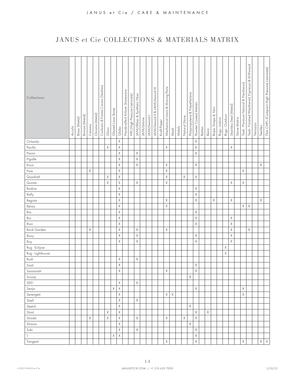| Collections      |         |               |                |             |                | Covers (Textiles) |             |                   |             | Handcrafted Artisan Stoneware | HPL (High Pressure Laminate) | JANUSfiber & Synthetic Fiber |                   |             | JANUSwood II & JANUSwood III |             | Mechanical Joints & Moving Parts |             |        |               | Polypropylene & Polyethylene |                         |        |       |                     |               |                |                         |              | Teak - Premium Natural & Hardwood | Driftwood<br>Teak - Finished Weathered, Espresso & |          |          | Thin CHPL (Compact High Pressure Laminate) |
|------------------|---------|---------------|----------------|-------------|----------------|-------------------|-------------|-------------------|-------------|-------------------------------|------------------------------|------------------------------|-------------------|-------------|------------------------------|-------------|----------------------------------|-------------|--------|---------------|------------------------------|-------------------------|--------|-------|---------------------|---------------|----------------|-------------------------|--------------|-----------------------------------|----------------------------------------------------|----------|----------|--------------------------------------------|
|                  | Acrylic | Brass (Metal) | Bronze (Metal) | Ceramic     | Chrome (Metal) | Cushions & Frame  | Glass       | Glazed Lava Stone | Glides      |                               |                              |                              | <b>JANUSstone</b> | JANUSwood I |                              | Kraft Paper |                                  | Mesh        | Metals | Natural Stone |                              | Powder Coated Metals    | Rattan | Resin | Rope, Straps & Yarn | Rugs - Indoor | Rugs - Outdoor | Stainless Steel (Metal) | Stone Matrix |                                   |                                                    | Terrazzo | Textiles |                                            |
| Orlando          |         |               |                |             |                |                   |             |                   | $\mathsf X$ |                               |                              |                              |                   |             |                              |             |                                  |             |        |               |                              | $\mathsf X$             |        |       |                     |               |                |                         |              |                                   |                                                    |          |          |                                            |
| Pacific          |         |               |                |             |                |                   | $\mathsf X$ |                   | $\mathsf X$ |                               |                              |                              |                   |             |                              |             | $\mathsf X$                      |             |        |               |                              | $\mathsf X$             |        |       |                     |               |                | X                       |              |                                   |                                                    |          |          |                                            |
| Panini           |         |               |                |             |                |                   |             |                   | $\mathsf X$ |                               |                              | $\mathsf X$                  |                   |             |                              |             |                                  |             |        |               |                              | $\mathsf X$             |        |       |                     |               |                |                         |              |                                   |                                                    |          |          |                                            |
| Pigalle          |         |               |                |             |                |                   |             |                   | Χ           |                               |                              | $\mathsf X$                  |                   |             |                              |             |                                  |             |        |               |                              |                         |        |       |                     |               |                |                         |              |                                   |                                                    |          |          |                                            |
| Pivot            |         |               |                |             |                |                   |             |                   | Χ           |                               |                              | $\mathsf X$                  |                   |             |                              |             | X                                |             |        |               |                              | $\mathsf X$             |        |       |                     |               |                |                         |              |                                   |                                                    |          | Χ        |                                            |
| Pure             |         |               |                | $\times$    |                |                   |             |                   | Χ           |                               |                              |                              |                   |             |                              |             | X                                |             |        |               |                              |                         |        |       |                     |               |                |                         |              | Χ                                 |                                                    |          |          |                                            |
| Quadratl         |         |               |                |             |                |                   | Χ           |                   | X           |                               |                              |                              |                   |             |                              |             | X                                |             |        | $\mathsf X$   |                              | $\mathsf X$             |        |       |                     |               |                |                         |              |                                   |                                                    |          |          |                                            |
| Quinta           |         |               |                |             |                |                   | Χ           |                   | $\mathsf X$ |                               |                              | $\mathsf X$                  |                   |             |                              |             | $\mathsf X$                      |             |        |               |                              |                         |        |       |                     |               |                | X                       |              | $\mathsf X$                       |                                                    |          |          |                                            |
| Radice           |         |               |                |             |                |                   |             |                   | Χ           |                               |                              |                              |                   |             |                              |             |                                  |             |        |               |                              | $\mathsf X$             |        |       |                     |               |                |                         |              |                                   |                                                    |          |          |                                            |
| Rally            |         |               |                |             |                |                   |             |                   | Χ           |                               |                              |                              |                   |             |                              |             |                                  |             |        |               |                              | $\mathsf X$             |        |       |                     |               |                |                         |              |                                   |                                                    |          |          |                                            |
| Regista          |         |               |                |             |                |                   |             |                   | Χ           |                               |                              |                              |                   |             |                              |             | X                                |             |        |               |                              | $\mathsf X$             |        |       | Χ                   |               |                | Χ                       |              |                                   |                                                    |          | X        |                                            |
| Relais           |         |               |                |             |                |                   |             |                   | Χ           |                               |                              |                              |                   |             |                              |             | $\mathsf X$                      |             |        |               |                              |                         |        |       |                     |               |                |                         |              | $\mathsf X$                       | $\mathsf X$                                        |          |          |                                            |
| Ria              |         |               |                |             |                |                   |             |                   | $\mathsf X$ |                               |                              |                              |                   |             |                              |             |                                  |             |        |               |                              | $\mathsf X$             |        |       |                     |               |                |                         |              |                                   |                                                    |          |          |                                            |
| Rio              |         |               |                |             |                |                   |             |                   | $\mathsf X$ |                               |                              |                              |                   |             |                              |             |                                  |             |        |               |                              | $\mathsf X$             |        |       |                     |               |                | Χ                       |              |                                   |                                                    |          |          |                                            |
| Rion             |         |               |                |             |                |                   |             |                   | $\mathsf X$ |                               |                              |                              |                   |             |                              |             |                                  |             |        |               |                              | $\mathsf X$             |        |       |                     |               |                | $\mathsf X$             |              |                                   |                                                    |          |          |                                            |
| Rock Garden      |         |               |                | $\mathsf X$ |                |                   |             |                   | Χ           |                               |                              | Χ                            |                   |             |                              |             | X                                |             |        |               |                              |                         |        |       |                     |               |                | Χ                       |              |                                   | $\mathsf X$                                        |          |          |                                            |
| Roxy             |         |               |                |             |                |                   |             |                   | Χ           |                               |                              | Χ                            |                   |             |                              |             |                                  |             |        |               |                              | $\mathsf X$             |        |       |                     |               |                | Χ                       |              |                                   |                                                    |          |          |                                            |
| Roy              |         |               |                |             |                |                   |             |                   | X           |                               |                              | Χ                            |                   |             |                              |             |                                  |             |        |               |                              | $\mathsf X$             |        |       |                     |               |                | Χ                       |              |                                   |                                                    |          |          |                                            |
| Rug - Eclipse    |         |               |                |             |                |                   |             |                   |             |                               |                              |                              |                   |             |                              |             |                                  |             |        |               |                              |                         |        |       |                     |               | Χ              |                         |              |                                   |                                                    |          |          |                                            |
| Rug - Lighthouse |         |               |                |             |                |                   |             |                   |             |                               |                              |                              |                   |             |                              |             |                                  |             |        |               |                              |                         |        |       |                     |               | X              |                         |              |                                   |                                                    |          |          |                                            |
| Rush             |         |               |                |             |                |                   |             |                   | Χ           |                               |                              | Χ                            |                   |             |                              |             |                                  |             |        |               |                              |                         |        |       |                     |               |                |                         |              |                                   |                                                    |          |          |                                            |
| Sash             |         |               |                |             |                |                   |             |                   | Χ           |                               |                              |                              |                   |             |                              |             |                                  |             |        |               |                              | Χ                       |        |       |                     |               |                |                         |              |                                   |                                                    |          |          |                                            |
| Savannah         |         |               |                |             |                |                   |             |                   | $\chi$      |                               |                              |                              |                   |             |                              |             | Χ                                |             |        |               |                              | $\overline{\mathsf{X}}$ |        |       |                     |               |                |                         |              |                                   |                                                    |          |          |                                            |
| Scoop            |         |               |                |             |                |                   |             |                   |             |                               |                              |                              |                   |             |                              |             |                                  |             |        |               | Χ                            |                         |        |       |                     |               |                |                         |              |                                   |                                                    |          |          |                                            |
| SEE!             |         |               |                |             |                |                   |             |                   | X           |                               |                              | Χ                            |                   |             |                              |             |                                  |             |        |               |                              |                         |        |       |                     |               |                |                         |              |                                   |                                                    |          |          |                                            |
| Senja            |         |               |                |             |                |                   |             | X                 | $\mathsf X$ |                               |                              |                              |                   |             |                              |             |                                  |             |        |               |                              | X                       |        |       |                     |               |                |                         |              | Χ                                 |                                                    |          |          |                                            |
| Serengeti        |         |               |                |             |                |                   |             |                   | Χ           |                               |                              |                              |                   |             |                              |             | $\mathsf X$                      | $\mathsf X$ |        |               |                              |                         |        |       |                     |               |                |                         |              | $\mathsf X$                       |                                                    |          |          |                                            |
| Shell            |         |               |                |             |                |                   |             |                   | X           |                               |                              | $\mathsf X$                  |                   |             |                              |             |                                  |             |        |               |                              |                         |        |       |                     |               |                |                         |              |                                   |                                                    |          |          |                                            |
| Sketch           |         |               |                |             |                |                   |             |                   | Χ           |                               |                              |                              |                   |             |                              |             |                                  |             |        |               | $\mathsf X$                  |                         |        |       |                     |               |                |                         |              |                                   |                                                    |          |          |                                            |
| Slant            |         |               |                |             |                |                   | Χ           |                   | Χ           |                               |                              |                              |                   |             |                              |             |                                  |             |        |               |                              | $\mathsf X$             |        | Χ     |                     |               |                |                         |              |                                   |                                                    |          |          |                                            |
| Strada           |         |               |                | Χ           |                |                   | Χ           |                   | Χ           |                               |                              | $\mathsf X$                  |                   |             |                              |             | Χ                                |             |        | Χ             |                              | $\mathsf X$             |        |       |                     |               |                |                         |              |                                   |                                                    |          |          |                                            |
| Strauss          |         |               |                |             |                |                   |             |                   | X           |                               |                              |                              |                   |             |                              |             |                                  |             |        |               | $\mathsf X$                  |                         |        |       |                     |               |                |                         |              |                                   |                                                    |          |          |                                            |
| Suki             |         |               |                |             |                |                   |             |                   | X           |                               |                              | Χ                            |                   |             |                              |             |                                  |             |        |               |                              | $\mathsf X$             |        |       |                     |               |                |                         |              |                                   |                                                    |          |          |                                            |
| T                |         |               |                |             |                |                   |             | Χ                 | X           |                               |                              |                              |                   |             |                              |             |                                  |             |        |               |                              | $\mathsf X$             |        |       |                     |               |                |                         |              |                                   |                                                    |          |          |                                            |
| Tangent          |         |               |                |             |                |                   |             |                   |             |                               |                              |                              |                   |             |                              |             | Χ                                |             |        |               |                              | $\mathsf X$             |        |       |                     |               |                |                         |              | $\mathsf X$                       |                                                    |          | X        | $\mathsf X$                                |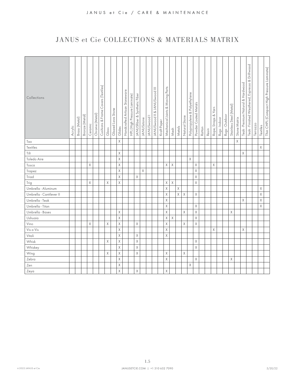| Collections              | Acrylic | Brass (Metal) | Bronze (Metal) | Ceramic | Chrome (Metal) | Cushions & Frame Covers (Textiles) | Glass       | Glazed Lava Stone | Glides      | Handcrafted Artisan Stoneware | HPL (High Pressure Laminate) | JANUSfiber & Synthetic Fiber | <b>JANUSstone</b> | JANUSwood <sub>1</sub> | IANUSwood II & JANUSwood III | Kraft Paper | Mechanical Joints & Moving Parts | Mesh        | Metals      | Natural Stone | Polypropylene & Polyethylene | Powder Coated Metals | Rattan | Resin | Rope, Straps & Yarn | Rugs - Indoor | Rugs - Outdoor | Stainless Steel (Metal) | Stone Matrix | Teak - Premium Natural & Hardwood | Espresso & Driftwood<br>Teak - Finished Weathered, | Terrazzo | Textiles    | Thin CHPL (Compact High Pressure Laminate) |
|--------------------------|---------|---------------|----------------|---------|----------------|------------------------------------|-------------|-------------------|-------------|-------------------------------|------------------------------|------------------------------|-------------------|------------------------|------------------------------|-------------|----------------------------------|-------------|-------------|---------------|------------------------------|----------------------|--------|-------|---------------------|---------------|----------------|-------------------------|--------------|-----------------------------------|----------------------------------------------------|----------|-------------|--------------------------------------------|
| Tao                      |         |               |                |         |                |                                    |             |                   | $\times$    |                               |                              |                              |                   |                        |                              |             |                                  |             |             |               |                              |                      |        |       |                     |               |                |                         | $\mathsf X$  |                                   |                                                    |          |             |                                            |
| Textiles                 |         |               |                |         |                |                                    |             |                   |             |                               |                              |                              |                   |                        |                              |             |                                  |             |             |               |                              |                      |        |       |                     |               |                |                         |              |                                   |                                                    |          | Χ           |                                            |
| Tilt                     |         |               |                |         |                |                                    |             |                   | Χ           |                               |                              |                              |                   |                        |                              |             |                                  |             |             |               |                              |                      |        |       |                     |               |                |                         |              | X                                 |                                                    |          |             |                                            |
| Toledo Aire              |         |               |                |         |                |                                    |             |                   | Χ           |                               |                              |                              |                   |                        |                              |             |                                  |             |             |               | $\mathsf X$                  |                      |        |       |                     |               |                |                         |              |                                   |                                                    |          |             |                                            |
| Tosca                    |         |               |                | Χ       |                |                                    |             |                   | Χ           |                               |                              |                              |                   |                        |                              |             | X                                | X           |             |               |                              | Χ                    |        |       | X                   |               |                |                         |              |                                   |                                                    |          |             |                                            |
| Trapez                   |         |               |                |         |                |                                    |             |                   | Χ           |                               |                              |                              | Χ                 |                        |                              |             |                                  |             |             |               |                              | Χ                    |        |       |                     |               |                |                         |              |                                   |                                                    |          |             |                                            |
| Triad                    |         |               |                |         |                |                                    |             |                   | X           |                               |                              | $\times$                     |                   |                        |                              |             |                                  |             |             |               |                              | Χ                    |        |       |                     |               |                |                         |              |                                   |                                                    |          |             |                                            |
| Trig                     |         |               |                | Χ       |                |                                    | X           |                   | Χ           |                               |                              |                              |                   |                        |                              |             | X                                | $\mathsf X$ |             |               |                              | Χ                    |        |       |                     |               |                |                         |              |                                   |                                                    |          |             |                                            |
| Umbrella - Aluminum      |         |               |                |         |                |                                    |             |                   |             |                               |                              |                              |                   |                        |                              |             | Χ                                |             | $\mathsf X$ |               |                              |                      |        |       |                     |               |                |                         |              |                                   |                                                    |          | Χ           |                                            |
| Umbrella - Cantilever II |         |               |                |         |                |                                    |             |                   |             |                               |                              |                              |                   |                        |                              |             | Χ                                |             | $\mathsf X$ | $\times$      |                              | χ                    |        |       |                     |               |                |                         |              |                                   |                                                    |          | Χ           |                                            |
| Umbrella - Teak          |         |               |                |         |                |                                    |             |                   |             |                               |                              |                              |                   |                        |                              |             | Χ                                |             |             |               |                              |                      |        |       |                     |               |                |                         |              | $\chi$                            |                                                    |          | Χ           |                                            |
| Umbrella - Titan         |         |               |                |         |                |                                    |             |                   |             |                               |                              |                              |                   |                        |                              |             | $\chi$                           |             |             |               |                              | Χ                    |        |       |                     |               |                |                         |              |                                   |                                                    |          | $\mathsf X$ |                                            |
| Umbrella - Bases         |         |               |                |         |                |                                    |             |                   | $\mathsf X$ |                               |                              |                              |                   |                        |                              |             | Χ                                |             |             | Χ             |                              | Χ                    |        |       |                     |               |                | χ                       |              |                                   |                                                    |          |             |                                            |
| Ushuaia                  |         |               |                |         |                |                                    |             |                   | $\mathsf X$ |                               |                              |                              |                   |                        |                              |             | X                                | Χ           |             |               |                              | Χ                    |        |       |                     |               |                |                         |              |                                   |                                                    |          |             |                                            |
| Vino                     |         |               |                | Χ       |                |                                    | Χ           |                   | $\mathsf X$ |                               |                              | Χ                            |                   |                        |                              |             | Χ                                |             |             | Χ             |                              | Χ                    |        |       |                     |               |                |                         |              |                                   |                                                    |          |             |                                            |
| Vis a Vis                |         |               |                |         |                |                                    |             |                   | $\mathsf X$ |                               |                              |                              |                   |                        |                              |             | Χ                                |             |             |               |                              |                      |        |       | X                   |               |                |                         |              | X                                 |                                                    |          |             |                                            |
| Vitali                   |         |               |                |         |                |                                    |             |                   | $\mathsf X$ |                               |                              | X                            |                   |                        |                              |             | $\chi$                           |             |             |               |                              |                      |        |       |                     |               |                |                         |              |                                   |                                                    |          |             |                                            |
| Whisk                    |         |               |                |         |                |                                    | $\mathsf X$ |                   | $\mathsf X$ |                               |                              | $\mathsf X$                  |                   |                        |                              |             |                                  |             |             |               |                              | Χ                    |        |       |                     |               |                |                         |              |                                   |                                                    |          |             |                                            |
| Whiskey                  |         |               |                |         |                |                                    |             |                   | Χ           |                               |                              | Χ                            |                   |                        |                              |             |                                  |             |             |               |                              | X                    |        |       |                     |               |                |                         |              |                                   |                                                    |          |             |                                            |
| Wing                     |         |               |                |         |                |                                    | $\mathsf X$ |                   | Χ           |                               |                              | Χ                            |                   |                        |                              |             | X                                |             |             | Χ             |                              |                      |        |       |                     |               |                |                         |              |                                   |                                                    |          |             |                                            |
| Zebra                    |         |               |                |         |                |                                    |             |                   | Χ           |                               |                              |                              |                   |                        |                              |             | $\chi$                           |             |             |               |                              | X                    |        |       |                     |               |                | Χ                       |              |                                   |                                                    |          |             |                                            |
| Zen                      |         |               |                |         |                |                                    |             |                   | Χ           |                               |                              |                              |                   |                        |                              |             |                                  |             |             |               | Χ                            |                      |        |       |                     |               |                |                         |              |                                   |                                                    |          |             |                                            |
| Zeya                     |         |               |                |         |                |                                    |             |                   | $\mathsf X$ |                               |                              | $\chi$                       |                   |                        |                              |             | $\mathsf X$                      |             |             |               |                              |                      |        |       |                     |               |                |                         |              |                                   |                                                    |          |             |                                            |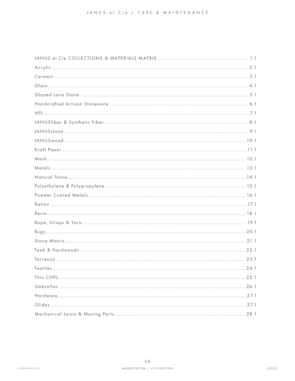<span id="page-7-0"></span>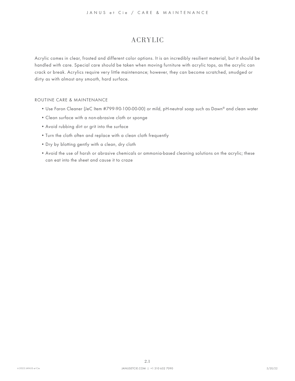# <span id="page-8-0"></span>ACRYLIC

<span id="page-8-1"></span>Acrylic comes in clear, frosted and different color options. It is an incredibly resilient material, but it should be handled with care. Special care should be taken when moving furniture with acrylic tops, as the acrylic can crack or break. Acrylics require very little maintenance; however, they can become scratched, smudged or dirty as with almost any smooth, hard surface.

- Use Faron Cleaner (JeC Item #799-90-100-00-00) or mild, pH-neutral soap such as Dawn® and clean water
- Clean surface with a non-abrasive cloth or sponge
- Avoid rubbing dirt or grit into the surface
- Turn the cloth often and replace with a clean cloth frequently
- Dry by blotting gently with a clean, dry cloth
- Avoid the use of harsh or abrasive chemicals or ammonia-based cleaning solutions on the acrylic; these can eat into the sheet and cause it to craze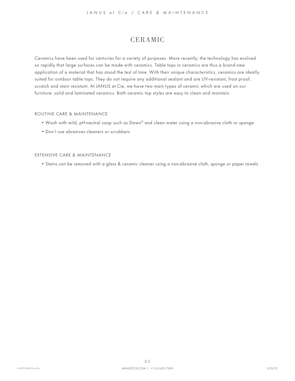# <span id="page-9-0"></span>CERAMIC

<span id="page-9-1"></span>Ceramics have been used for centuries for a variety of purposes. More recently, the technology has evolved so rapidly that large surfaces can be made with ceramics. Table tops in ceramics are thus a brand-new application of a material that has stood the test of time. With their unique characteristics, ceramics are ideally suited for outdoor table tops. They do not require any additional sealant and are UV-resistant, frost proof, scratch and stain resistant. At JANUS et Cie, we have two main types of ceramic which are used on our furniture: solid and laminated ceramics. Both ceramic top styles are easy to clean and maintain.

#### ROUTINE CARE & MAINTENANCE

- Wash with mild, pH-neutral soap such as Dawn® and clean water using a non-abrasive cloth or sponge
- Don't use abrasives cleaners or scrubbers

#### EXTENSIVE CARE & MAINTENANCE

• Stains can be removed with a glass & ceramic cleaner using a non-abrasive cloth, sponge or paper towels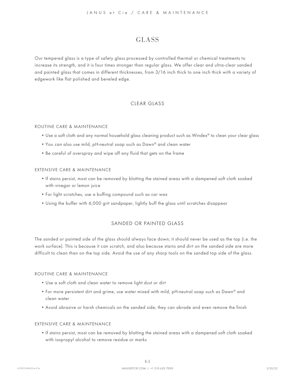### <span id="page-10-0"></span>GLASS

<span id="page-10-1"></span>Our tempered glass is a type of safety glass processed by controlled thermal or chemical treatments to increase its strength, and it is four times stronger than regular glass. We offer clear and ultra-clear sanded and painted glass that comes in different thicknesses, from 3/16 inch thick to one inch thick with a variety of edgework like flat polished and beveled edge.

### CLEAR GLASS

#### ROUTINE CARE & MAINTENANCE

- Use a soft cloth and any normal household glass cleaning product such as Windex® to clean your clear glass
- You can also use mild, pH-neutral soap such as Dawn® and clean water
- Be careful of overspray and wipe off any fluid that gets on the frame

#### EXTENSIVE CARE & MAINTENANCE

- If stains persist, most can be removed by blotting the stained areas with a dampened soft cloth soaked with vinegar or lemon juice
- For light scratches, use a buffing compound such as car wax
- Using the buffer with 6,000 grit sandpaper, lightly buff the glass until scratches disappear

#### SANDED OR PAINTED GLASS

The sanded or painted side of the glass should always face down; it should never be used as the top (i.e. the work surface). This is because it can scratch, and also because stains and dirt on the sanded side are more difficult to clean than on the top side. Avoid the use of any sharp tools on the sanded top side of the glass.

#### ROUTINE CARE & MAINTENANCE

- Use a soft cloth and clean water to remove light dust or dirt
- For more persistent dirt and grime, use water mixed with mild, pH-neutral soap such as Dawn® and clean water
- Avoid abrasive or harsh chemicals on the sanded side; they can abrade and even remove the finish

#### EXTENSIVE CARE & MAINTENANCE

• If stains persist, most can be removed by blotting the stained areas with a dampened soft cloth soaked with isopropyl alcohol to remove residue or marks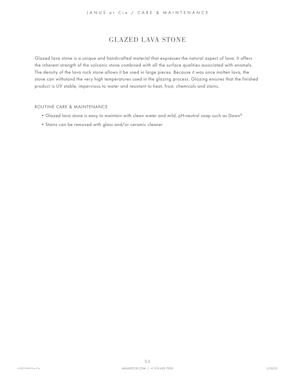# <span id="page-11-0"></span>GLAZED LAVA STONE

<span id="page-11-1"></span>Glazed lava stone is a unique and handcrafted material that expresses the natural aspect of lava. It offers the inherent strength of the volcanic stone combined with all the surface qualities associated with enamels. The density of the lava rock stone allows it be used in large pieces. Because it was once molten lava, the stone can withstand the very high temperatures used in the glazing process. Glazing ensures that the finished product is UV stable, impervious to water and resistant to heat, frost, chemicals and stains.

- Glazed lava stone is easy to maintain with clean water and mild, pH-neutral soap such as Dawn®
- Stains can be removed with glass and/or ceramic cleaner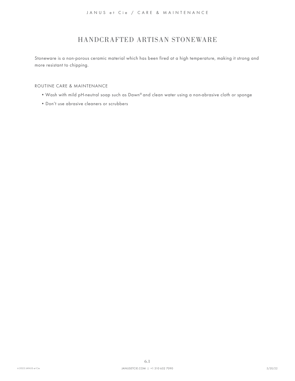# <span id="page-12-0"></span>HANDCRAFTED ARTISAN STONEWARE

<span id="page-12-1"></span>Stoneware is a non-porous ceramic material which has been fired at a high temperature, making it strong and more resistant to chipping.

- Wash with mild pH-neutral soap such as Dawn® and clean water using a non-abrasive cloth or sponge
- Don't use abrasive cleaners or scrubbers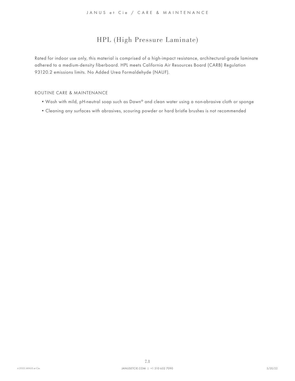# <span id="page-13-0"></span>HPL (High Pressure Laminate)

<span id="page-13-1"></span>Rated for indoor use only, this material is comprised of a high-impact resistance, architectural-grade laminate adhered to a medium-density fiberboard. HPL meets California Air Resources Board (CARB) Regulation 93120.2 emissions limits. No Added Urea Formaldehyde (NAUF).

- Wash with mild, pH-neutral soap such as Dawn® and clean water using a non-abrasive cloth or sponge
- Cleaning any surfaces with abrasives, scouring powder or hard bristle brushes is not recommended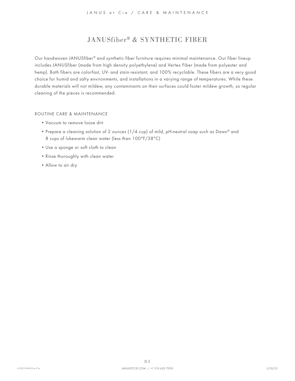# <span id="page-14-0"></span>JANUSfiber® & SYNTHETIC FIBER

<span id="page-14-1"></span>Our handwoven JANUSfiber® and synthetic fiber furniture requires minimal maintenance. Our fiber lineup includes JANUSfiber (made from high density polyethylene) and Vertex Fiber (made from polyester and hemp). Both fibers are colorfast, UV- and stain-resistant, and 100% recyclable. These fibers are a very good choice for humid and salty environments, and installations in a varying range of temperatures. While these durable materials will not mildew, any contaminants on their surfaces could foster mildew growth, so regular cleaning of the pieces is recommended.

- Vacuum to remove loose dirt
- Prepare a cleaning solution of 2 ounces (1/4 cup) of mild, pH-neutral soap such as Dawn® and 8 cups of lukewarm clean water (less than 100°F/38°C)
- Use a sponge or soft cloth to clean
- Rinse thoroughly with clean water
- Allow to air dry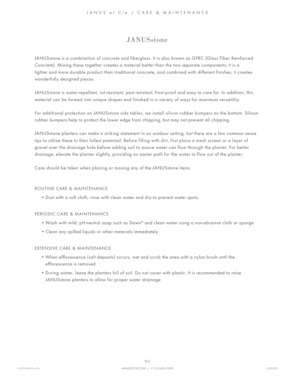### <span id="page-15-0"></span>**JANUS**stone

<span id="page-15-1"></span>JANUSstone is a combination of concrete and fiberglass. It is also known as GFRC (Glass Fiber Reinforced Concrete). Mixing these together creates a material better than the two separate components; it is a lighter and more durable product than traditional concrete, and combined with different finishes, it creates wonderfully designed pieces.

JANUSstone is water-repellant, rot-resistant, pest-resistant, frost-proof and easy to care for. In addition, this material can be formed into unique shapes and finished in a variety of ways for maximum versatility.

For additional protection on JANUSstone side tables, we install silicon rubber bumpers on the bottom. Silicon rubber bumpers help to protect the lower edge from chipping, but may not prevent all chipping.

JANUSstone planters can make a striking statement in an outdoor setting, but there are a few common sense tips to utilize these to their fullest potential. Before filling with dirt, first place a mesh screen or a layer of gravel over the drainage hole before adding soil to assure water can flow through the planter. For better drainage, elevate the planter slightly, providing an easier path for the water to flow out of the planter.

Care should be taken when placing or moving any of the JANUSstone items.

#### ROUTINE CARE & MAINTENANCE

• Dust with a soft cloth, rinse with clean water and dry to prevent water spots.

#### PERIODIC CARE & MAINTENANCE

- Wash with mild, pH-neutral soap such as Dawn® and clean water using a non-abrasive cloth or sponge
- Clean any spilled liquids or other materials immediately

#### EXTENSIVE CARE & MAINTENANCE

- When efflorescence (salt deposits) occurs, wet and scrub the area with a nylon brush until the efflorescence is removed
- During winter, leave the planters full of soil. Do not cover with plastic. It is recommended to raise JANUSstone planters to allow for proper water drainage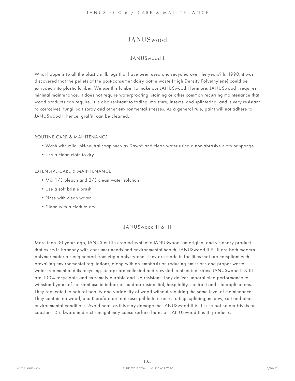# JANUSwood

#### <span id="page-16-0"></span>JANUSwood I

<span id="page-16-1"></span>What happens to all the plastic milk jugs that have been used and recycled over the years? In 1990, it was discovered that the pellets of the post-consumer dairy bottle waste (High Density Polyethylene) could be extruded into plastic lumber. We use this lumber to make our JANUSwood I furniture. JANUSwood I requires minimal maintenance. It does not require waterproofing, staining or other common recurring maintenance that wood products can require. It is also resistant to fading, moisture, insects, and splintering, and is very resistant to corrosives, fungi, salt spray and other environmental stresses. As a general rule, paint will not adhere to JANUSwood I; hence, graffiti can be cleaned.

#### ROUTINE CARE & MAINTENANCE

- Wash with mild, pH-neutral soap such as Dawn® and clean water using a non-abrasive cloth or sponge
- Use a clean cloth to dry

#### EXTENSIVE CARE & MAINTENANCE

- Mix 1/3 bleach and 2/3 clean water solution
- Use a soft bristle brush
- Rinse with clean water
- Clean with a cloth to dry

#### JANUSwood II & III

More than 30 years ago, JANUS et Cie created synthetic JANUSwood, an original and visionary product that exists in harmony with consumer needs and environmental health. JANUSwood II & III are both modern polymer materials engineered from virgin polystyrene. They are made in facilities that are compliant with prevailing environmental regulations, along with an emphasis on reducing emissions and proper waste water treatment and its recycling. Scraps are collected and recycled in other industries. JANUSwood II & III are 100% recyclable and extremely durable and UV resistant. They deliver unparalleled performance to withstand years of constant use in indoor or outdoor residential, hospitality, contract and site applications. They replicate the natural beauty and variability of wood without requiring the same level of maintenance. They contain no wood, and therefore are not susceptible to insects, rotting, splitting, mildew, salt and other environmental conditions. Avoid heat, as this may damage the JANUSwood II & III; use pot holder trivets or coasters. Drinkware in direct sunlight may cause surface burns on JANUSwood II & III products.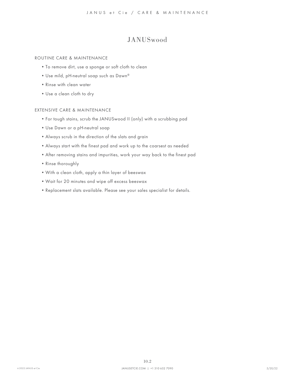# JANUSwood

#### ROUTINE CARE & MAINTENANCE

- To remove dirt, use a sponge or soft cloth to clean
- Use mild, pH-neutral soap such as Dawn®
- Rinse with clean water
- Use a clean cloth to dry

#### EXTENSIVE CARE & MAINTENANCE

- For tough stains, scrub the JANUSwood II (only) with a scrubbing pad
- Use Dawn or a pH-neutral soap
- Always scrub in the direction of the slats and grain
- Always start with the finest pad and work up to the coarsest as needed
- After removing stains and impurities, work your way back to the finest pad
- Rinse thoroughly
- With a clean cloth, apply a thin layer of beeswax
- Wait for 20 minutes and wipe off excess beeswax
- Replacement slats available. Please see your sales specialist for details.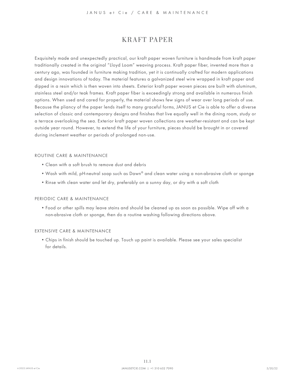## <span id="page-18-0"></span>KRAFT PAPER

<span id="page-18-1"></span>Exquisitely made and unexpectedly practical, our kraft paper woven furniture is handmade from kraft paper traditionally created in the original "Lloyd Loom" weaving process. Kraft paper fiber, invented more than a century ago, was founded in furniture making tradition, yet it is continually crafted for modern applications and design innovations of today. The material features a galvanized steel wire wrapped in kraft paper and dipped in a resin which is then woven into sheets. Exterior kraft paper woven pieces are built with aluminum, stainless steel and/or teak frames. Kraft paper fiber is exceedingly strong and available in numerous finish options. When used and cared for properly, the material shows few signs of wear over long periods of use. Because the pliancy of the paper lends itself to many graceful forms, JANUS et Cie is able to offer a diverse selection of classic and contemporary designs and finishes that live equally well in the dining room, study or a terrace overlooking the sea. Exterior kraft paper woven collections are weather-resistant and can be kept outside year round. However, to extend the life of your furniture, pieces should be brought in or covered during inclement weather or periods of prolonged non-use.

#### ROUTINE CARE & MAINTENANCE

- Clean with a soft brush to remove dust and debris
- Wash with mild, pH-neutral soap such as Dawn® and clean water using a non-abrasive cloth or sponge
- Rinse with clean water and let dry, preferably on a sunny day, or dry with a soft cloth

#### PERIODIC CARE & MAINTENANCE

• Food or other spills may leave stains and should be cleaned up as soon as possible. Wipe off with a non-abrasive cloth or sponge, then do a routine washing following directions above.

#### EXTENSIVE CARE & MAINTENANCE

• Chips in finish should be touched up. Touch up paint is available. Please see your sales specialist for details.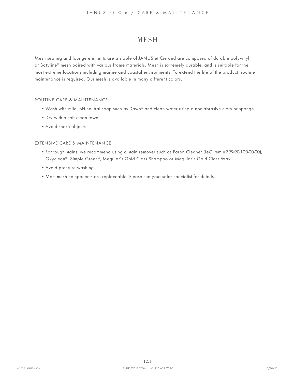### <span id="page-19-0"></span>**MESH**

<span id="page-19-1"></span>Mesh seating and lounge elements are a staple of JANUS et Cie and are composed of durable polyvinyl or Batyline® mesh paired with various frame materials. Mesh is extremely durable, and is suitable for the most extreme locations including marine and coastal environments. To extend the life of the product, routine maintenance is required. Our mesh is available in many different colors.

#### ROUTINE CARE & MAINTENANCE

- Wash with mild, pH-neutral soap such as Dawn® and clean water using a non-abrasive cloth or sponge
- Dry with a soft clean towel
- Avoid sharp objects

#### EXTENSIVE CARE & MAINTENANCE

- For tough stains, we recommend using a stain remover such as Faron Cleaner (JeC Item #799-90-100-00-00), Oxyclean®, Simple Green®, Meguiar's Gold Class Shampoo or Meguiar's Gold Class Wax
- Avoid pressure washing
- Most mesh components are replaceable. Please see your sales specialist for details.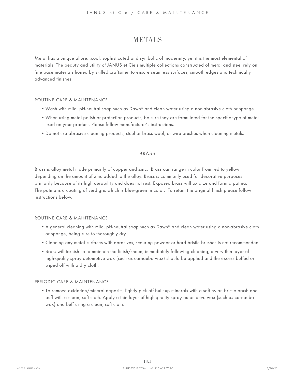### <span id="page-20-0"></span>**METALS**

<span id="page-20-1"></span>Metal has a unique allure…cool, sophisticated and symbolic of modernity, yet it is the most elemental of materials. The beauty and utility of JANUS et Cie's multiple collections constructed of metal and steel rely on fine base materials honed by skilled craftsmen to ensure seamless surfaces, smooth edges and technically advanced finishes.

#### ROUTINE CARE & MAINTENANCE

- Wash with mild, pH-neutral soap such as Dawn® and clean water using a non-abrasive cloth or sponge.
- When using metal polish or protection products, be sure they are formulated for the specific type of metal used on your product. Please follow manufacturer's instructions.
- Do not use abrasive cleaning products, steel or brass wool, or wire brushes when cleaning metals.

#### BRASS

Brass is alloy metal made primarily of copper and zinc. Brass can range in color from red to yellow depending on the amount of zinc added to the alloy. Brass is commonly used for decorative purposes primarily because of its high durability and does not rust. Exposed brass will oxidize and form a patina. The patina is a coating of verdigris which is blue-green in color. To retain the original finish please follow instructions below.

#### ROUTINE CARE & MAINTENANCE

- A general cleaning with mild, pH-neutral soap such as Dawn® and clean water using a non-abrasive cloth or sponge, being sure to thoroughly dry.
- Cleaning any metal surfaces with abrasives, scouring powder or hard bristle brushes is not recommended.
- Brass will tarnish so to maintain the finish/sheen, immediately following cleaning, a very thin layer of high-quality spray automotive wax (such as carnauba wax) should be applied and the excess buffed or wiped off with a dry cloth.

#### PERIODIC CARE & MAINTENANCE

• To remove oxidation/mineral deposits, lightly pick off built-up minerals with a soft nylon bristle brush and buff with a clean, soft cloth. Apply a thin layer of high-quality spray automotive wax (such as carnauba wax) and buff using a clean, soft cloth.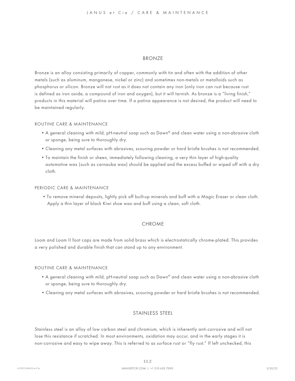#### BRONZE

Bronze is an alloy consisting primarily of copper, commonly with tin and often with the addition of other metals (such as aluminum, manganese, nickel or zinc) and sometimes non-metals or metalloids such as phosphorus or silicon. Bronze will not rust as it does not contain any iron (only iron can rust because rust is defined as iron oxide, a compound of iron and oxygen), but it will tarnish. As bronze is a "living finish," products in this material will patina over time. If a patina appearance is not desired, the product will need to be maintained regularly.

#### ROUTINE CARE & MAINTENANCE

- A general cleaning with mild, pH-neutral soap such as Dawn® and clean water using a non-abrasive cloth or sponge, being sure to thoroughly dry.
- Cleaning any metal surfaces with abrasives, scouring powder or hard bristle brushes is not recommended.
- To maintain the finish or sheen, immediately following cleaning, a very thin layer of high-quality automotive wax (such as carnauba wax) should be applied and the excess buffed or wiped off with a dry cloth.

#### PERIODIC CARE & MAINTENANCE

• To remove mineral deposits, lightly pick off built-up minerals and buff with a Magic Eraser or clean cloth. Apply a thin layer of black Kiwi shoe wax and buff using a clean, soft cloth.

#### CHROME

Loom and Loom II foot caps are made from solid brass which is electrostatically chrome-plated. This provides a very polished and durable finish that can stand up to any environment.

#### ROUTINE CARE & MAINTENANCE

- A general cleaning with mild, pH-neutral soap such as Dawn® and clean water using a non-abrasive cloth or sponge, being sure to thoroughly dry.
- Cleaning any metal surfaces with abrasives, scouring powder or hard bristle brushes is not recommended.

#### STAINLESS STEEL

Stainless steel is an alloy of low carbon steel and chromium, which is inherently anti-corrosive and will not lose this resistance if scratched. In most environments, oxidation may occur, and in the early stages it is non-corrosive and easy to wipe away. This is referred to as surface rust or "fly rust." If left unchecked, this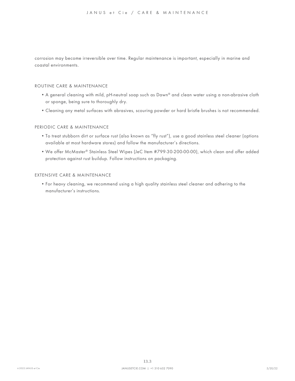corrosion may become irreversible over time. Regular maintenance is important, especially in marine and coastal environments.

#### ROUTINE CARE & MAINTENANCE

- A general cleaning with mild, pH-neutral soap such as Dawn® and clean water using a non-abrasive cloth or sponge, being sure to thoroughly dry.
- Cleaning any metal surfaces with abrasives, scouring powder or hard bristle brushes is not recommended.

#### PERIODIC CARE & MAINTENANCE

- To treat stubborn dirt or surface rust (also known as "fly rust"), use a good stainless steel cleaner (options available at most hardware stores) and follow the manufacturer's directions.
- We offer McMaster® Stainless Steel Wipes (JeC Item #799-30-200-00-00), which clean and offer added protection against rust buildup. Follow instructions on packaging.

#### EXTENSIVE CARE & MAINTENANCE

• For heavy cleaning, we recommend using a high quality stainless steel cleaner and adhering to the manufacturer's instructions.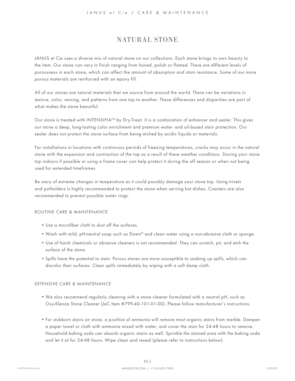# <span id="page-23-0"></span>NATURAL STONE

<span id="page-23-1"></span>JANUS et Cie uses a diverse mix of natural stone on our collections. Each stone brings its own beauty to the item. Our stone can vary in finish ranging from honed, polish or flamed. There are different levels of porousness in each stone, which can affect the amount of absorption and stain resistance. Some of our more porous materials are reinforced with an epoxy fill.

All of our stones are natural materials that we source from around the world. There can be variations in texture, color, veining, and patterns from one top to another. These differences and disparities are part of what makes the stone beautiful.

Our stone is treated with INTENSIFIA<sup>TM</sup> by Dry-Treat. It is a combination of enhancer and sealer. This gives our stone a deep, long-lasting color enrichment and premium water- and oil-based stain protection. Our sealer does not protect the stone surface from being etched by acidic liquids or materials.

For installations in locations with continuous periods of freezing temperatures, cracks may occur in the natural stone with the expansion and contraction of the top as a result of these weather conditions. Storing your stone top indoors if possible or using a frame cover can help protect it during the off season or when not being used for extended timeframes.

Be wary of extreme changes in temperature as it could possibly damage your stone top. Using trivets and potholders is highly recommended to protect the stone when serving hot dishes. Coasters are also recommended to prevent possible water rings.

#### ROUTINE CARE & MAINTENANCE

- Use a microfiber cloth to dust off the surfaces.
- Wash with mild, pH-neutral soap such as Dawn® and clean water using a non-abrasive cloth or sponge.
- Use of harsh chemicals or abrasive cleaners is not recommended. They can scratch, pit, and etch the surface of the stone.
- Spills have the potential to stain. Porous stones are more susceptible to soaking up spills, which can discolor their surfaces. Clean spills immediately by wiping with a soft damp cloth.

#### EXTENSIVE CARE & MAINTENANCE

- We also recommend regularly cleaning with a stone cleaner formulated with a neutral pH, such as Oxy-Klenza Stone Cleaner (JeC Item #799-40-101-01-00). Please follow manufacturer's instructions.
- For stubborn stains on stone, a poultice of ammonia will remove most organic stains from marble. Dampen a paper towel or cloth with ammonia mixed with water, and cover the stain for 24-48 hours to remove. Household baking soda can absorb organic stains as well. Sprinkle the stained area with the baking soda and let it sit for 24-48 hours. Wipe clean and reseal (please refer to instructions below).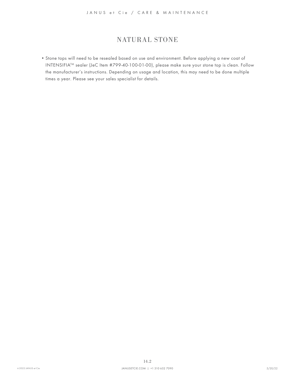# NATURAL STONE

• Stone tops will need to be resealed based on use and environment. Before applying a new coat of INTENSIFIATM sealer (JeC Item #799-40-100-01-00), please make sure your stone top is clean. Follow the manufacturer's instructions. Depending on usage and location, this may need to be done multiple times a year. Please see your sales specialist for details.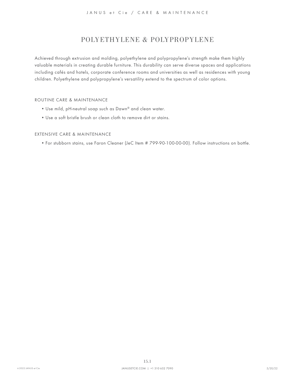# <span id="page-25-0"></span>POLYETHYLENE & POLYPROPYLENE

<span id="page-25-1"></span>Achieved through extrusion and molding, polyethylene and polypropylene's strength make them highly valuable materials in creating durable furniture. This durability can serve diverse spaces and applications including cafés and hotels, corporate conference rooms and universities as well as residences with young children. Polyethylene and polypropylene's versatility extend to the spectrum of color options.

#### ROUTINE CARE & MAINTENANCE

- Use mild, pH-neutral soap such as Dawn® and clean water.
- Use a soft bristle brush or clean cloth to remove dirt or stains.

#### EXTENSIVE CARE & MAINTENANCE

• For stubborn stains, use Faron Cleaner (JeC Item # 799-90-100-00-00). Follow instructions on bottle.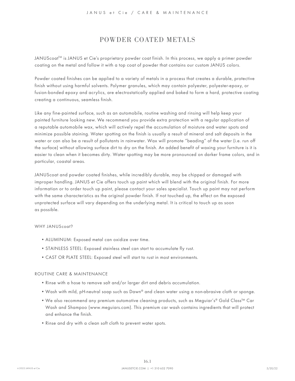## <span id="page-26-0"></span>POWDER COATED METALS

<span id="page-26-1"></span>JANUScoat™ is JANUS et Cie's proprietary powder coat finish. In this process, we apply a primer powder coating on the metal and follow it with a top coat of powder that contains our custom JANUS colors.

Powder coated finishes can be applied to a variety of metals in a process that creates a durable, protective finish without using harmful solvents. Polymer granules, which may contain polyester, polyester-epoxy, or fusion-bonded epoxy and acrylics, are electrostatically applied and baked to form a hard, protective coating creating a continuous, seamless finish.

Like any fine-painted surface, such as an automobile, routine washing and rinsing will help keep your painted furniture looking new. We recommend you provide extra protection with a regular application of a reputable automobile wax, which will actively repel the accumulation of moisture and water spots and minimize possible staining. Water spotting on the finish is usually a result of mineral and salt deposits in the water or can also be a result of pollutants in rainwater. Wax will promote "beading" of the water (i.e. run off the surface) without allowing surface dirt to dry on the finish. An added benefit of waxing your furniture is it is easier to clean when it becomes dirty. Water spotting may be more pronounced on darker frame colors, and in particular, coastal areas.

JANUScoat and powder coated finishes, while incredibly durable, may be chipped or damaged with improper handling. JANUS et Cie offers touch up paint which will blend with the original finish. For more information or to order touch up paint, please contact your sales specialist. Touch up paint may not perform with the same characteristics as the original powder finish. If not touched up, the effect on the exposed unprotected surface will vary depending on the underlying metal. It is critical to touch up as soon as possible.

#### WHY JANUScoat?

- ALUMINUM: Exposed metal can oxidize over time.
- STAINLESS STEEL: Exposed stainless steel can start to accumulate fly rust.
- CAST OR PLATE STEEL: Exposed steel will start to rust in most environments.

- Rinse with a hose to remove salt and/or larger dirt and debris accumulation.
- Wash with mild, pH-neutral soap such as Dawn® and clean water using a non-abrasive cloth or sponge.
- We also recommend any premium automotive cleaning products, such as Meguiar's® Gold Class™ Car Wash and Shampoo (www.meguiars.com). This premium car wash contains ingredients that will protect and enhance the finish.
- Rinse and dry with a clean soft cloth to prevent water spots.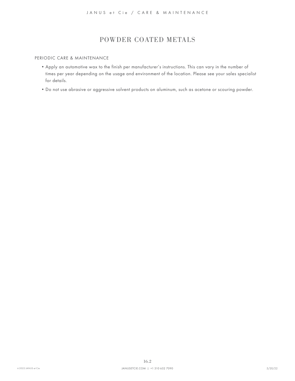# POWDER COATED METALS

#### PERIODIC CARE & MAINTENANCE

- Apply an automotive wax to the finish per manufacturer's instructions. This can vary in the number of times per year depending on the usage and environment of the location. Please see your sales specialist for details.
- Do not use abrasive or aggressive solvent products on aluminum, such as acetone or scouring powder.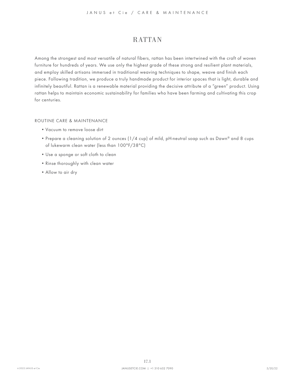# <span id="page-28-0"></span>RATTAN

<span id="page-28-1"></span>Among the strongest and most versatile of natural fibers, rattan has been intertwined with the craft of woven furniture for hundreds of years. We use only the highest grade of these strong and resilient plant materials, and employ skilled artisans immersed in traditional weaving techniques to shape, weave and finish each piece. Following tradition, we produce a truly handmade product for interior spaces that is light, durable and infinitely beautiful. Rattan is a renewable material providing the decisive attribute of a "green" product. Using rattan helps to maintain economic sustainability for families who have been farming and cultivating this crop for centuries.

- Vacuum to remove loose dirt
- Prepare a cleaning solution of 2 ounces (1/4 cup) of mild, pH-neutral soap such as Dawn® and 8 cups of lukewarm clean water (less than 100°F/38°C)
- Use a sponge or soft cloth to clean
- Rinse thoroughly with clean water
- Allow to air dry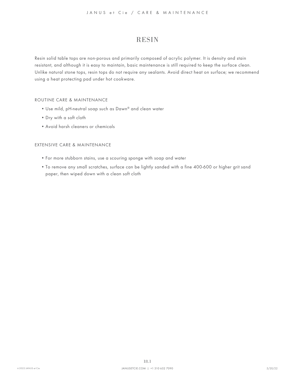### <span id="page-29-0"></span>RESIN

<span id="page-29-1"></span>Resin solid table tops are non-porous and primarily composed of acrylic polymer. It is density and stain resistant, and although it is easy to maintain, basic maintenance is still required to keep the surface clean. Unlike natural stone tops, resin tops do not require any sealants. Avoid direct heat on surface; we recommend using a heat protecting pad under hot cookware.

#### ROUTINE CARE & MAINTENANCE

- Use mild, pH-neutral soap such as Dawn® and clean water
- Dry with a soft cloth
- Avoid harsh cleaners or chemicals

#### EXTENSIVE CARE & MAINTENANCE

- For more stubborn stains, use a scouring sponge with soap and water
- To remove any small scratches, surface can be lightly sanded with a fine 400-600 or higher grit sand paper, then wiped down with a clean soft cloth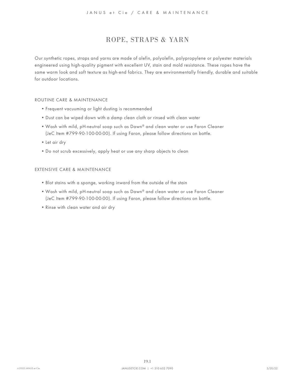# <span id="page-30-0"></span>ROPE, STRAPS & YARN

<span id="page-30-1"></span>Our synthetic ropes, straps and yarns are made of olefin, polyolefin, polypropylene or polyester materials engineered using high-quality pigment with excellent UV, stain and mold resistance. These ropes have the same warm look and soft texture as high-end fabrics. They are environmentally friendly, durable and suitable for outdoor locations.

#### ROUTINE CARE & MAINTENANCE

- Frequent vacuuming or light dusting is recommended
- Dust can be wiped down with a damp clean cloth or rinsed with clean water
- Wash with mild, pH-neutral soap such as Dawn® and clean water or use Faron Cleaner (JeC Item #799-90-100-00-00). If using Faron, please follow directions on bottle.
- Let air dry
- Do not scrub excessively, apply heat or use any sharp objects to clean

#### EXTENSIVE CARE & MAINTENANCE

- Blot stains with a sponge, working inward from the outside of the stain
- Wash with mild, pH-neutral soap such as Dawn® and clean water or use Faron Cleaner (JeC Item #799-90-100-00-00). If using Faron, please follow directions on bottle.
- Rinse with clean water and air dry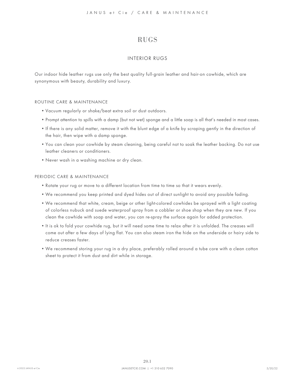# <span id="page-31-0"></span>RUGS

#### INTERIOR RUGS

<span id="page-31-1"></span>Our indoor hide leather rugs use only the best quality full-grain leather and hair-on cowhide, which are synonymous with beauty, durability and luxury.

#### ROUTINE CARE & MAINTENANCE

- Vacuum regularly or shake/beat extra soil or dust outdoors.
- Prompt attention to spills with a damp (but not wet) sponge and a little soap is all that's needed in most cases.
- If there is any solid matter, remove it with the blunt edge of a knife by scraping gently in the direction of the hair, then wipe with a damp sponge.
- You can clean your cowhide by steam cleaning, being careful not to soak the leather backing. Do not use leather cleaners or conditioners.
- Never wash in a washing machine or dry clean.

#### PERIODIC CARE & MAINTENANCE

- Rotate your rug or move to a different location from time to time so that it wears evenly.
- We recommend you keep printed and dyed hides out of direct sunlight to avoid any possible fading.
- We recommend that white, cream, beige or other light-colored cowhides be sprayed with a light coating of colorless nubuck and suede waterproof spray from a cobbler or shoe shop when they are new. If you clean the cowhide with soap and water, you can re-spray the surface again for added protection.
- It is ok to fold your cowhide rug, but it will need some time to relax after it is unfolded. The creases will come out after a few days of lying flat. You can also steam iron the hide on the underside or hairy side to reduce creases faster.
- We recommend storing your rug in a dry place, preferably rolled around a tube core with a clean cotton sheet to protect it from dust and dirt while in storage.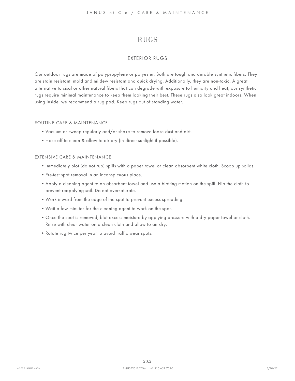# RUGS

#### EXTERIOR RUGS

Our outdoor rugs are made of polypropylene or polyester. Both are tough and durable synthetic fibers. They are stain resistant, mold and mildew resistant and quick drying. Additionally, they are non-toxic. A great alternative to sisal or other natural fibers that can degrade with exposure to humidity and heat, our synthetic rugs require minimal maintenance to keep them looking their best. These rugs also look great indoors. When using inside, we recommend a rug pad. Keep rugs out of standing water.

#### ROUTINE CARE & MAINTENANCE

- Vacuum or sweep regularly and/or shake to remove loose dust and dirt.
- Hose off to clean & allow to air dry (in direct sunlight if possible).

#### EXTENSIVE CARE & MAINTENANCE

- Immediately blot (do not rub) spills with a paper towel or clean absorbent white cloth. Scoop up solids.
- Pre-test spot removal in an inconspicuous place.
- Apply a cleaning agent to an absorbent towel and use a blotting motion on the spill. Flip the cloth to prevent reapplying soil. Do not oversaturate.
- Work inward from the edge of the spot to prevent excess spreading.
- Wait a few minutes for the cleaning agent to work on the spot.
- Once the spot is removed, blot excess moisture by applying pressure with a dry paper towel or cloth. Rinse with clear water on a clean cloth and allow to air dry.
- Rotate rug twice per year to avoid traffic wear spots.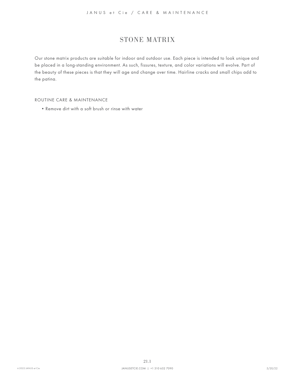# <span id="page-33-0"></span>STONE MATRIX

<span id="page-33-1"></span>Our stone matrix products are suitable for indoor and outdoor use. Each piece is intended to look unique and be placed in a long-standing environment. As such, fissures, texture, and color variations will evolve. Part of the beauty of these pieces is that they will age and change over time. Hairline cracks and small chips add to the patina.

#### ROUTINE CARE & MAINTENANCE

• Remove dirt with a soft brush or rinse with water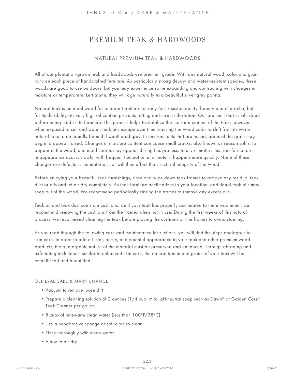#### <span id="page-34-0"></span>NATURAL PREMIUM TEAK & HARDWOODS

<span id="page-34-1"></span>All of our plantation-grown teak and hardwoods are premium grade. With any natural wood, color and grain vary on each piece of handcrafted furniture. As particularly strong decay- and water-resistant species, these woods are good to use outdoors, but you may experience some expanding and contracting with changes in moisture or temperature. Left alone, they will age naturally to a beautiful silver grey patina.

Natural teak is an ideal wood for outdoor furniture not only for its sustainability, beauty and character, but for its durability—its very high oil content prevents rotting and insect infestation. Our premium teak is kiln dried before being made into furniture. This process helps to stabilize the moisture content of the teak; however, when exposed to sun and water, teak oils escape over time, causing the wood color to shift from its warm natural tone to an equally beautiful weathered grey. In environments that are humid, areas of the grain may begin to appear raised. Changes in moisture content can cause small cracks, also known as season splits, to appear in the wood, and mold spores may appear during this process. In dry climates, this transformation in appearance occurs slowly; with frequent fluctuation in climate, it happens more quickly. None of these changes are defects in the material, nor will they affect the structural integrity of the wood.

Before enjoying your beautiful teak furnishings, rinse and wipe down teak frames to remove any residual teak dust or oils and let air dry completely. As teak furniture acclimatizes to your location, additional teak oils may seep out of the wood. We recommend periodically rinsing the frames to remove any excess oils.

Teak oil and teak dust can stain cushions. Until your teak has properly acclimated to the environment, we recommend removing the cushions from the frames when not in use. During the first weeks of this natural process, we recommend cleaning the teak before placing the cushions on the frames to avoid staining.

As you read through the following care and maintenance instructions, you will find the steps analogous to skin care. In order to add a luster, purity, and youthful appearance to your teak and other premium wood products, the true organic nature of the material must be preserved and enhanced. Through abrading and exfoliating techniques, similar to enhanced skin care, the natural tannin and grains of your teak will be embellished and beautified.

#### GENERAL CARE & MAINTENANCE

- Vacuum to remove loose dirt
- Prepare a cleaning solution of 2 ounces (1/4 cup) mild, pH-neutral soap such as Dawn® or Golden Care® Teak Cleaner per gallon
- 8 cups of lukewarm clean water (less than 100°F/38°C)
- Use a nonabrasive sponge or soft cloth to clean
- Rinse thoroughly with clean water
- Allow to air dry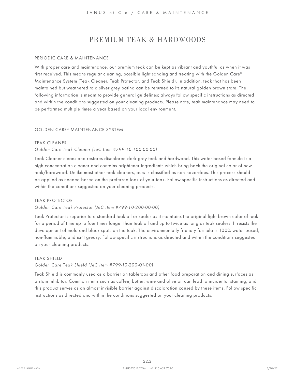#### PERIODIC CARE & MAINTENANCE

With proper care and maintenance, our premium teak can be kept as vibrant and youthful as when it was first received. This means regular cleaning, possible light sanding and treating with the Golden Care® Maintenance System (Teak Cleaner, Teak Protector, and Teak Shield). In addition, teak that has been maintained but weathered to a silver grey patina can be returned to its natural golden brown state. The following information is meant to provide general guidelines; always follow specific instructions as directed and within the conditions suggested on your cleaning products. Please note, teak maintenance may need to be performed multiple times a year based on your local environment.

#### GOLDEN CARE® MAINTENANCE SYSTEM

#### TEAK CLEANER

#### Golden Care Teak Cleaner (JeC Item #799-10-100-00-00)

Teak Cleaner cleans and restores discolored dark grey teak and hardwood. This water-based formula is a high concentration cleaner and contains brightener ingredients which bring back the original color of new teak/hardwood. Unlike most other teak cleaners, ours is classified as non-hazardous. This process should be applied as needed based on the preferred look of your teak. Follow specific instructions as directed and within the conditions suggested on your cleaning products.

#### TEAK PROTECTOR

#### Golden Care Teak Protector (JeC Item #799-10-200-00-00)

Teak Protector is superior to a standard teak oil or sealer as it maintains the original light brown color of teak for a period of time up to four times longer than teak oil and up to twice as long as teak sealers. It resists the development of mold and black spots on the teak. The environmentally friendly formula is 100% water based, non-flammable, and isn't greasy. Follow specific instructions as directed and within the conditions suggested on your cleaning products.

#### TEAK SHIELD

#### Golden Care Teak Shield (JeC Item #799-10-200-01-00)

Teak Shield is commonly used as a barrier on tabletops and other food preparation and dining surfaces as a stain inhibitor. Common items such as coffee, butter, wine and olive oil can lead to incidental staining, and this product serves as an almost invisible barrier against discoloration caused by these items. Follow specific instructions as directed and within the conditions suggested on your cleaning products.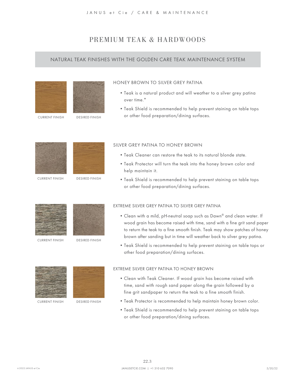#### NATURAL TEAK FINISHES WITH THE GOLDEN CARE TEAK MAINTENANCE SYSTEM





CURRENT FINISH DESIRED FINISH

#### HONEY BROWN TO SILVER GREY PATINA

- Teak is a natural product and will weather to a silver grey patina over time.\*
- Teak Shield is recommended to help prevent staining on table tops or other food preparation/dining surfaces.



CURRENT FINISH



DESIRED FINISH

#### SILVER GREY PATINA TO HONEY BROWN

- Teak Cleaner can restore the teak to its natural blonde state.
- Teak Protector will turn the teak into the honey brown color and help maintain it.
- Teak Shield is recommended to help prevent staining on table tops or other food preparation/dining surfaces.



CURRENT FINISH



DESIRED FINISH

#### EXTREME SILVER GREY PATINA TO SILVER GREY PATINA

- Clean with a mild, pH-neutral soap such as Dawn® and clean water. If wood grain has become raised with time, sand with a fine grit sand paper to return the teak to a fine smooth finish. Teak may show patches of honey brown after sanding but in time will weather back to silver grey patina.
- Teak Shield is recommended to help prevent staining on table tops or other food preparation/dining surfaces.



CURRENT FINISH



DESIRED FINISH

#### EXTREME SILVER GREY PATINA TO HONEY BROWN

- Clean with Teak Cleaner. If wood grain has become raised with time, sand with rough sand paper along the grain followed by a fine grit sandpaper to return the teak to a fine smooth finish.
- Teak Protector is recommended to help maintain honey brown color.
- Teak Shield is recommended to help prevent staining on table tops or other food preparation/dining surfaces.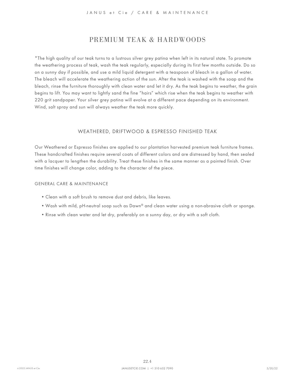\*The high quality of our teak turns to a lustrous silver grey patina when left in its natural state. To promote the weathering process of teak, wash the teak regularly, especially during its first few months outside. Do so on a sunny day if possible, and use a mild liquid detergent with a teaspoon of bleach in a gallon of water. The bleach will accelerate the weathering action of the sun. After the teak is washed with the soap and the bleach, rinse the furniture thoroughly with clean water and let it dry. As the teak begins to weather, the grain begins to lift. You may want to lightly sand the fine "hairs" which rise when the teak begins to weather with 220 grit sandpaper. Your silver grey patina will evolve at a different pace depending on its environment. Wind, salt spray and sun will always weather the teak more quickly.

#### <span id="page-37-0"></span>WEATHERED, DRIFTWOOD & ESPRESSO FINISHED TEAK

Our Weathered or Espresso finishes are applied to our plantation harvested premium teak furniture frames. These handcrafted finishes require several coats of different colors and are distressed by hand, then sealed with a lacquer to lengthen the durability. Treat these finishes in the same manner as a painted finish. Over time finishes will change color, adding to the character of the piece.

#### GENERAL CARE & MAINTENANCE

- Clean with a soft brush to remove dust and debris, like leaves.
- Wash with mild, pH-neutral soap such as Dawn® and clean water using a non-abrasive cloth or sponge.
- Rinse with clean water and let dry, preferably on a sunny day, or dry with a soft cloth.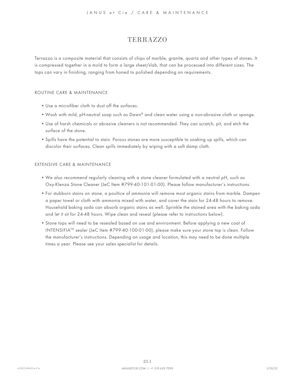### TERRAZZO

<span id="page-38-0"></span>Terrazzo is a composite material that consists of chips of marble, granite, quartz and other types of stones. It is compressed together in a mold to form a large sheet/slab, that can be processed into different sizes. The tops can vary in finishing, ranging from honed to polished depending on requirements.

#### ROUTINE CARE & MAINTENANCE

- Use a microfiber cloth to dust off the surfaces.
- Wash with mild, pH-neutral soap such as Dawn® and clean water using a non-abrasive cloth or sponge.
- Use of harsh chemicals or abrasive cleaners is not recommended. They can scratch, pit, and etch the surface of the stone.
- Spills have the potential to stain. Porous stones are more susceptible to soaking up spills, which can discolor their surfaces. Clean spills immediately by wiping with a soft damp cloth.

#### EXTENSIVE CARE & MAINTENANCE

- We also recommend regularly cleaning with a stone cleaner formulated with a neutral pH, such as Oxy-Klenza Stone Cleaner (JeC Item #799-40-101-01-00). Please follow manufacturer's instructions.
- For stubborn stains on stone, a poultice of ammonia will remove most organic stains from marble. Dampen a paper towel or cloth with ammonia mixed with water, and cover the stain for 24-48 hours to remove. Household baking soda can absorb organic stains as well. Sprinkle the stained area with the baking soda and let it sit for 24-48 hours. Wipe clean and reseal (please refer to instructions below).
- Stone tops will need to be resealed based on use and environment. Before applying a new coat of INTENSIFIATM sealer (JeC Item #799-40-100-01-00), please make sure your stone top is clean. Follow the manufacturer's instructions. Depending on usage and location, this may need to be done multiple times a year. Please see your sales specialist for details.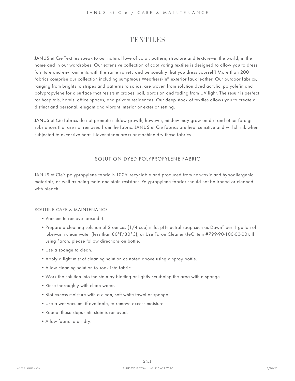<span id="page-39-1"></span>JANUS et Cie Textiles speak to our natural love of color, pattern, structure and texture—in the world, in the home and in our wardrobes. Our extensive collection of captivating textiles is designed to allow you to dress furniture and environments with the same variety and personality that you dress yourself! More than 200 fabrics comprise our collection including sumptuous Weatherskin® exterior faux leather. Our outdoor fabrics, ranging from brights to stripes and patterns to solids, are woven from solution dyed acrylic, polyolefin and polypropylene for a surface that resists microbes, soil, abrasion and fading from UV light. The result is perfect for hospitals, hotels, office spaces, and private residences. Our deep stock of textiles allows you to create a distinct and personal, elegant and vibrant interior or exterior setting.

JANUS et Cie fabrics do not promote mildew growth; however, mildew may grow on dirt and other foreign substances that are not removed from the fabric. JANUS et Cie fabrics are heat sensitive and will shrink when subjected to excessive heat. Never steam press or machine dry these fabrics.

#### <span id="page-39-0"></span>SOLUTION DYED POLYPROPYLENE FABRIC

JANUS et Cie's polypropylene fabric is 100% recyclable and produced from non-toxic and hypoallergenic materials, as well as being mold and stain resistant. Polypropylene fabrics should not be ironed or cleaned with bleach.

- Vacuum to remove loose dirt.
- Prepare a cleaning solution of 2 ounces (1/4 cup) mild, pH-neutral soap such as Dawn® per 1 gallon of lukewarm clean water (less than 80°F/30°C), or Use Faron Cleaner (JeC Item #799-90-100-00-00). If using Faron, please follow directions on bottle.
- Use a sponge to clean.
- Apply a light mist of cleaning solution as noted above using a spray bottle.
- Allow cleaning solution to soak into fabric.
- Work the solution into the stain by blotting or lightly scrubbing the area with a sponge.
- Rinse thoroughly with clean water.
- Blot excess moisture with a clean, soft white towel or sponge.
- Use a wet vacuum, if available, to remove excess moisture.
- Repeat these steps until stain is removed.
- Allow fabric to air dry.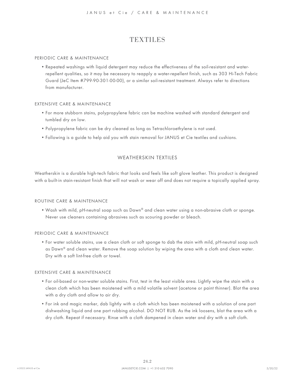#### PERIODIC CARE & MAINTENANCE

• Repeated washings with liquid detergent may reduce the effectiveness of the soil-resistant and waterrepellent qualities, so it may be necessary to reapply a water-repellent finish, such as 303 Hi-Tech Fabric Guard (JeC Item #799-90-301-00-00), or a similar soil-resistant treatment. Always refer to directions from manufacturer.

#### EXTENSIVE CARE & MAINTENANCE

- For more stubborn stains, polypropylene fabric can be machine washed with standard detergent and tumbled dry on low.
- Polypropylene fabric can be dry cleaned as long as Tetrachloroethylene is not used.
- Following is a guide to help aid you with stain removal for JANUS et Cie textiles and cushions.

#### WEATHERSKIN TEXTILES

Weatherskin is a durable high-tech fabric that looks and feels like soft glove leather. This product is designed with a built-in stain-resistant finish that will not wash or wear off and does not require a topically applied spray.

#### ROUTINE CARE & MAINTENANCE

• Wash with mild, pH-neutral soap such as Dawn® and clean water using a non-abrasive cloth or sponge. Never use cleaners containing abrasives such as scouring powder or bleach.

#### PERIODIC CARE & MAINTENANCE

• For water soluble stains, use a clean cloth or soft sponge to dab the stain with mild, pH-neutral soap such as Dawn® and clean water. Remove the soap solution by wiping the area with a cloth and clean water. Dry with a soft lint-free cloth or towel.

#### EXTENSIVE CARE & MAINTENANCE

- For oil-based or non-water soluble stains. First, test in the least visible area. Lightly wipe the stain with a clean cloth which has been moistened with a mild volatile solvent (acetone or paint thinner). Blot the area with a dry cloth and allow to air dry.
- For ink and magic marker, dab lightly with a cloth which has been moistened with a solution of one part dishwashing liquid and one part rubbing alcohol. DO NOT RUB. As the ink loosens, blot the area with a dry cloth. Repeat if necessary. Rinse with a cloth dampened in clean water and dry with a soft cloth.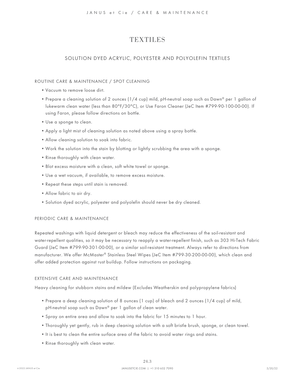#### SOLUTION DYED ACRYLIC, POLYESTER AND POLYOLEFIN TEXTILES

#### ROUTINE CARE & MAINTENANCE / SPOT CLEANING

- Vacuum to remove loose dirt.
- Prepare a cleaning solution of 2 ounces (1/4 cup) mild, pH-neutral soap such as Dawn® per 1 gallon of lukewarm clean water (less than 80°F/30°C), or Use Faron Cleaner (JeC Item #799-90-100-00-00). If using Faron, please follow directions on bottle.
- Use a sponge to clean.
- Apply a light mist of cleaning solution as noted above using a spray bottle.
- Allow cleaning solution to soak into fabric.
- Work the solution into the stain by blotting or lightly scrubbing the area with a sponge.
- Rinse thoroughly with clean water.
- Blot excess moisture with a clean, soft white towel or sponge.
- Use a wet vacuum, if available, to remove excess moisture.
- Repeat these steps until stain is removed.
- Allow fabric to air dry.
- Solution dyed acrylic, polyester and polyolefin should never be dry cleaned.

#### PERIODIC CARE & MAINTENANCE

Repeated washings with liquid detergent or bleach may reduce the effectiveness of the soil-resistant and water-repellent qualities, so it may be necessary to reapply a water-repellent finish, such as 303 Hi-Tech Fabric Guard (JeC Item #799-90-301-00-00), or a similar soil-resistant treatment. Always refer to directions from manufacturer. We offer McMaster® Stainless Steel Wipes (JeC Item #799-30-200-00-00), which clean and offer added protection against rust buildup. Follow instructions on packaging.

#### EXTENSIVE CARE AND MAINTENANCE

Heavy cleaning for stubborn stains and mildew (Excludes Weatherskin and polypropylene fabrics)

- Prepare a deep cleaning solution of 8 ounces (1 cup) of bleach and 2 ounces (1/4 cup) of mild, pH-neutral soap such as Dawn® per 1 gallon of clean water.
- Spray on entire area and allow to soak into the fabric for 15 minutes to 1 hour.
- Thoroughly yet gently, rub in deep cleaning solution with a soft bristle brush, sponge, or clean towel.
- It is best to clean the entire surface area of the fabric to avoid water rings and stains.
- Rinse thoroughly with clean water.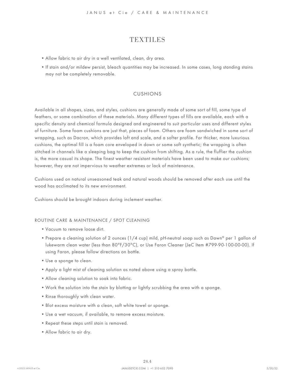- Allow fabric to air dry in a well ventilated, clean, dry area.
- If stain and/or mildew persist, bleach quantities may be increased. In some cases, long standing stains may not be completely removable.

#### CUSHIONS

Available in all shapes, sizes, and styles, cushions are generally made of some sort of fill, some type of feathers, or some combination of these materials. Many different types of fills are available, each with a specific density and chemical formula designed and engineered to suit particular uses and different styles of furniture. Some foam cushions are just that, pieces of foam. Others are foam sandwiched in some sort of wrapping, such as Dacron, which provides loft and scale, and a softer profile. For thicker, more luxurious cushions, the optimal fill is a foam core enveloped in down or some soft synthetic; the wrapping is often stitched in channels like a sleeping bag to keep the cushion from shifting. As a rule, the fluffier the cushion is, the more casual its shape. The finest weather resistant materials have been used to make our cushions; however, they are not impervious to weather extremes or lack of maintenance.

Cushions used on natural unseasoned teak and natural woods should be removed after each use until the wood has acclimated to its new environment.

Cushions should be brought indoors during inclement weather.

#### ROUTINE CARE & MAINTENANCE / SPOT CLEANING

- Vacuum to remove loose dirt.
- Prepare a cleaning solution of 2 ounces (1/4 cup) mild, pH-neutral soap such as Dawn® per 1 gallon of lukewarm clean water (less than 80°F/30°C), or Use Faron Cleaner (JeC Item #799-90-100-00-00). If using Faron, please follow directions on bottle.
- Use a sponge to clean.
- Apply a light mist of cleaning solution as noted above using a spray bottle.
- Allow cleaning solution to soak into fabric.
- Work the solution into the stain by blotting or lightly scrubbing the area with a sponge.
- Rinse thoroughly with clean water.
- Blot excess moisture with a clean, soft white towel or sponge.
- Use a wet vacuum, if available, to remove excess moisture.
- Repeat these steps until stain is removed.
- Allow fabric to air dry.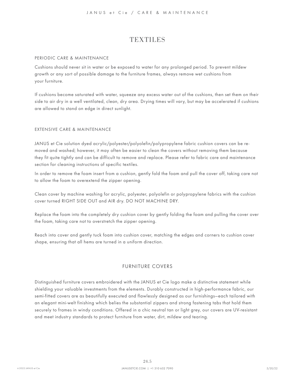#### PERIODIC CARE & MAINTENANCE

Cushions should never sit in water or be exposed to water for any prolonged period. To prevent mildew growth or any sort of possible damage to the furniture frames, always remove wet cushions from your furniture.

If cushions become saturated with water, squeeze any excess water out of the cushions, then set them on their side to air dry in a well ventilated, clean, dry area. Drying times will vary, but may be accelerated if cushions are allowed to stand on edge in direct sunlight.

#### EXTENSIVE CARE & MAINTENANCE

JANUS et Cie solution dyed acrylic/polyester/polyolefin/polypropylene fabric cushion covers can be removed and washed; however, it may often be easier to clean the covers without removing them because they fit quite tightly and can be difficult to remove and replace. Please refer to fabric care and maintenance section for cleaning instructions of specific textiles.

In order to remove the foam insert from a cushion, gently fold the foam and pull the cover off, taking care not to allow the foam to overextend the zipper opening.

Clean cover by machine washing for acrylic, polyester, polyolefin or polypropylene fabrics with the cushion cover turned RIGHT SIDE OUT and AIR dry. DO NOT MACHINE DRY.

Replace the foam into the completely dry cushion cover by gently folding the foam and pulling the cover over the foam, taking care not to overstretch the zipper opening.

Reach into cover and gently tuck foam into cushion cover, matching the edges and corners to cushion cover shape, ensuring that all hems are turned in a uniform direction.

#### FURNITURE COVERS

Distinguished furniture covers embroidered with the JANUS et Cie logo make a distinctive statement while shielding your valuable investments from the elements. Durably constructed in high-performance fabric, our semi-fitted covers are as beautifully executed and flawlessly designed as our furnishings—each tailored with an elegant mini-welt finishing which belies the substantial zippers and strong fastening tabs that hold them securely to frames in windy conditions. Offered in a chic neutral tan or light grey, our covers are UV-resistant and meet industry standards to protect furniture from water, dirt, mildew and tearing.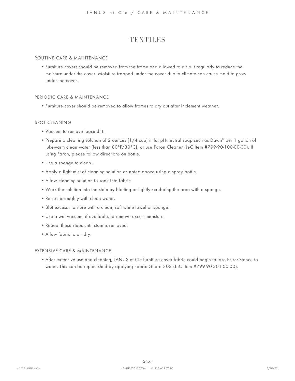#### ROUTINE CARE & MAINTENANCE

• Furniture covers should be removed from the frame and allowed to air out regularly to reduce the moisture under the cover. Moisture trapped under the cover due to climate can cause mold to grow under the cover.

#### PERIODIC CARE & MAINTENANCE

• Furniture cover should be removed to allow frames to dry out after inclement weather.

#### SPOT CLEANING

- Vacuum to remove loose dirt.
- Prepare a cleaning solution of 2 ounces (1/4 cup) mild, pH-neutral soap such as Dawn® per 1 gallon of lukewarm clean water (less than 80°F/30°C), or use Faron Cleaner (JeC Item #799-90-100-00-00). If using Faron, please follow directions on bottle.
- Use a sponge to clean.
- Apply a light mist of cleaning solution as noted above using a spray bottle.
- Allow cleaning solution to soak into fabric.
- Work the solution into the stain by blotting or lightly scrubbing the area with a sponge.
- Rinse thoroughly with clean water.
- Blot excess moisture with a clean, soft white towel or sponge.
- Use a wet vacuum, if available, to remove excess moisture.
- Repeat these steps until stain is removed.
- Allow fabric to air dry.

#### EXTENSIVE CARE & MAINTENANCE

• After extensive use and cleaning, JANUS et Cie furniture cover fabric could begin to lose its resistance to water. This can be replenished by applying Fabric Guard 303 (JeC Item #799-90-301-00-00).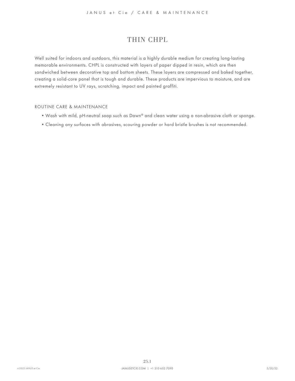# <span id="page-45-0"></span>THIN CHPL

<span id="page-45-1"></span>Well suited for indoors and outdoors, this material is a highly durable medium for creating long-lasting memorable environments. CHPL is constructed with layers of paper dipped in resin, which are then sandwiched between decorative top and bottom sheets. These layers are compressed and baked together, creating a solid-core panel that is tough and durable. These products are impervious to moisture, and are extremely resistant to UV rays, scratching, impact and painted graffiti.

- Wash with mild, pH-neutral soap such as Dawn® and clean water using a non-abrasive cloth or sponge.
- Cleaning any surfaces with abrasives, scouring powder or hard bristle brushes is not recommended.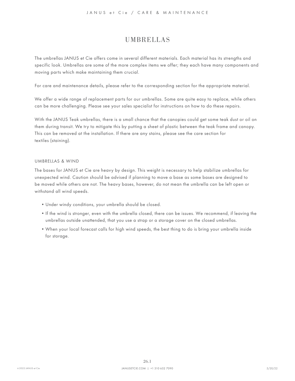# UMBRELLAS

<span id="page-46-0"></span>The umbrellas JANUS et Cie offers come in several different materials. Each material has its strengths and specific look. Umbrellas are some of the more complex items we offer; they each have many components and moving parts which make maintaining them crucial.

For care and maintenance details, please refer to the corresponding section for the appropriate material.

We offer a wide range of replacement parts for our umbrellas. Some are quite easy to replace, while others can be more challenging. Please see your sales specialist for instructions on how to do these repairs.

With the JANUS Teak umbrellas, there is a small chance that the canopies could get some teak dust or oil on them during transit. We try to mitigate this by putting a sheet of plastic between the teak frame and canopy. This can be removed at the installation. If there are any stains, please see the care section for textiles (staining).

#### UMBRELLAS & WIND

The bases for JANUS et Cie are heavy by design. This weight is necessary to help stabilize umbrellas for unexpected wind. Caution should be advised if planning to move a base as some bases are designed to be moved while others are not. The heavy bases, however, do not mean the umbrella can be left open or withstand all wind speeds.

- Under windy conditions, your umbrella should be closed.
- If the wind is stronger, even with the umbrella closed, there can be issues. We recommend, if leaving the umbrellas outside unattended, that you use a strap or a storage cover on the closed umbrellas.
- When your local forecast calls for high wind speeds, the best thing to do is bring your umbrella inside for storage.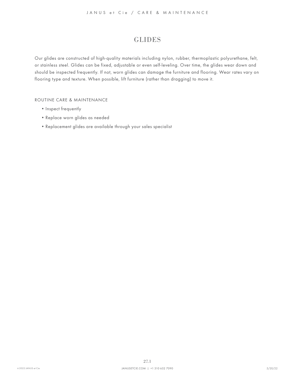# <span id="page-47-0"></span>GLIDES

<span id="page-47-1"></span>Our glides are constructed of high-quality materials including nylon, rubber, thermoplastic polyurethane, felt, or stainless steel. Glides can be fixed, adjustable or even self-leveling. Over time, the glides wear down and should be inspected frequently. If not, worn glides can damage the furniture and flooring. Wear rates vary on flooring type and texture. When possible, lift furniture (rather than dragging) to move it.

- Inspect frequently
- Replace worn glides as needed
- Replacement glides are available through your sales specialist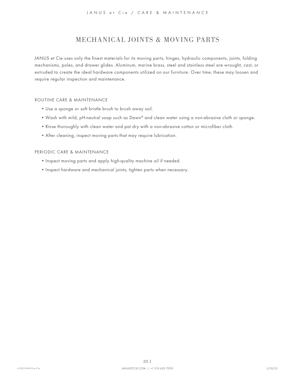# <span id="page-48-0"></span>MECHANICAL JOINTS & MOVING PARTS

<span id="page-48-1"></span>JANUS et Cie uses only the finest materials for its moving parts, hinges, hydraulic components, joints, folding mechanisms, poles, and drawer glides. Aluminum, marine brass, steel and stainless steel are wrought, cast, or extruded to create the ideal hardware components utilized on our furniture. Over time, these may loosen and require regular inspection and maintenance.

#### ROUTINE CARE & MAINTENANCE

- Use a sponge or soft bristle brush to brush away soil.
- Wash with mild, pH-neutral soap such as Dawn® and clean water using a non-abrasive cloth or sponge.
- Rinse thoroughly with clean water and pat dry with a non-abrasive cotton or microfiber cloth.
- After cleaning, inspect moving parts that may require lubrication.

#### PERIODIC CARE & MAINTENANCE

- Inspect moving parts and apply high-quality machine oil if needed.
- Inspect hardware and mechanical joints; tighten parts when necessary.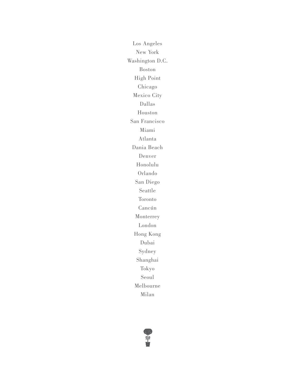Los Angeles New York Washington D.C. Boston High Point Chicago Mexico City Dallas Houston San Francisco Miami Atlanta Dania Beach Denver Honolulu Orlando San Diego Seattle Toronto Cancún Monterrey London Hong Kong Dubai Sydney Shanghai Tokyo Seoul Melbourne Milan